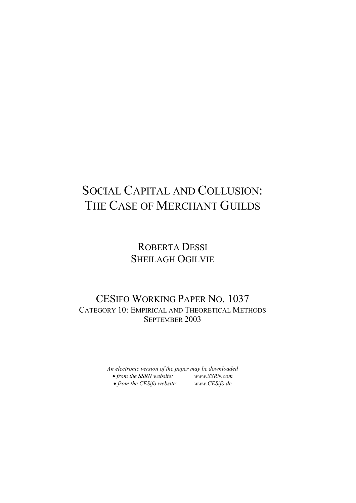# SOCIAL CAPITAL AND COLLUSION: THE CASE OF MERCHANT GUILDS

## ROBERTA DESSI SHEILAGH OGILVIE

### CESIFO WORKING PAPER NO. 1037 CATEGORY 10: EMPIRICAL AND THEORETICAL METHODS SEPTEMBER 2003

*An electronic version of the paper may be downloaded* • *from the SSRN website: [www.SSRN.com](http://www.ssrn.com/)* • *from the CESifo website: [www.CESifo.de](http://www.cesifo.de/)*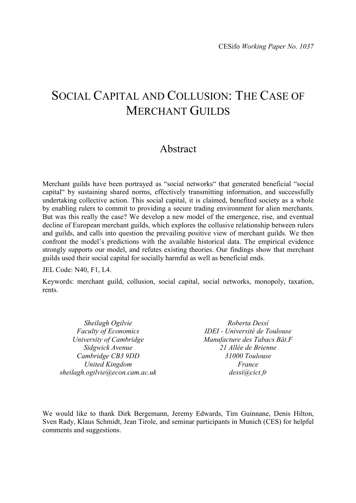## SOCIAL CAPITAL AND COLLUSION: THE CASE OF MERCHANT GUILDS

### Abstract

Merchant guilds have been portrayed as "social networks" that generated beneficial "social capital" by sustaining shared norms, effectively transmitting information, and successfully undertaking collective action. This social capital, it is claimed, benefited society as a whole by enabling rulers to commit to providing a secure trading environment for alien merchants. But was this really the case? We develop a new model of the emergence, rise, and eventual decline of European merchant guilds, which explores the collusive relationship between rulers and guilds, and calls into question the prevailing positive view of merchant guilds. We then confront the model's predictions with the available historical data. The empirical evidence strongly supports our model, and refutes existing theories. Our findings show that merchant guilds used their social capital for socially harmful as well as beneficial ends.

JEL Code: N40, F1, L4.

Keywords: merchant guild, collusion, social capital, social networks, monopoly, taxation, rents.

*Sheilagh Ogilvie Faculty of Economics University of Cambridge Sidgwick Avenue Cambridge CB3 9DD United Kingdom sheilagh.ogilvie@econ.cam.ac.uk*

*Roberta Dessí IDEI - Université de Toulouse Manufacture des Tabacs Bât.F 21 Allée de Brienne 31000 Toulouse France dessi@cict.fr*

We would like to thank Dirk Bergemann, Jeremy Edwards, Tim Guinnane, Denis Hilton, Sven Rady, Klaus Schmidt, Jean Tirole, and seminar participants in Munich (CES) for helpful comments and suggestions.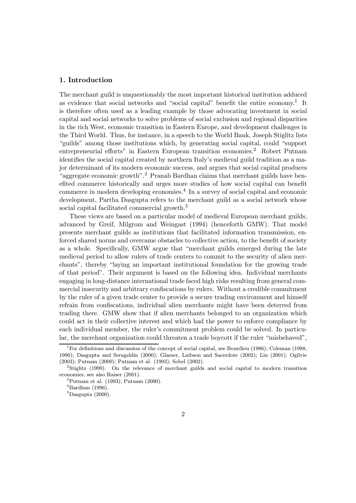#### 1. Introduction

The merchant guild is unquestionably the most important historical institution adduced as evidence that social networks and "social capital" benefit the entire economy.<sup>1</sup> It is therefore often used as a leading example by those advocating investment in social capital and social networks to solve problems of social exclusion and regional disparities in the rich West, economic transition in Eastern Europe, and development challenges in the Third World. Thus, for instance, in a speech to the World Bank, Joseph Stiglitz lists "guilds" among those institutions which, by generating social capital, could "support" entrepreneurial efforts" in Eastern European transition economies.<sup>2</sup> Robert Putnam identifies the social capital created by northern Italy's medieval guild tradition as a major determinant of its modern economic success, and argues that social capital produces "aggregate economic growth".<sup>3</sup> Pranab Bardhan claims that merchant guilds have benefited commerce historically and urges more studies of how social capital can benefit commerce in modern developing economies.<sup>4</sup> In a survey of social capital and economic development, Partha Dasgupta refers to the merchant guild as a social network whose social capital facilitated commercial growth.<sup>5</sup>

These views are based on a particular model of medieval European merchant guilds, advanced by Greif, Milgrom and Weingast (1994) (henceforth GMW). That model presents merchant guilds as institutions that facilitated information transmission, enforced shared norms and overcame obstacles to collective action, to the benefit of society as a whole. Specifically, GMW argue that "merchant guilds emerged during the late medieval period to allow rulers of trade centers to commit to the security of alien merchants", thereby \laying an important institutional foundation for the growing trade of that period". Their argument is based on the following idea. Individual merchants engaging in long-distance international trade faced high risks resulting from general commercial insecurity and arbitrary confiscations by rulers. Without a credible commitment by the ruler of a given trade center to provide a secure trading environment and himself refrain from confiscations, individual alien merchants might have been deterred from trading there. GMW show that if alien merchants belonged to an organization which could act in their collective interest and which had the power to enforce compliance by each individual member, the ruler's commitment problem could be solved. In particular, the merchant organization could threaten a trade boycott if the ruler "misbehaved",

<sup>&</sup>lt;sup>1</sup>For definitions and discussion of the concept of social capital, see Bourdieu (1986); Coleman (1988, 1990); Dasgupta and Serageldin (2000); Glaeser, Laibson and Sacerdote (2002); Lin (2001); Ogilvie (2003); Putnam (2000); Putnam et al. (1993); Sobel (2002).<br><sup>2</sup>Stiglitz (1999). On the relevance of merchant guilds and social capital to modern transition

economies, see also Raiser (2001). <sup>3</sup>Putnam et al. (1993); Putnam (2000).

 $4$ Bardhan (1996).

 ${}^{5}$ Dasgupta (2000).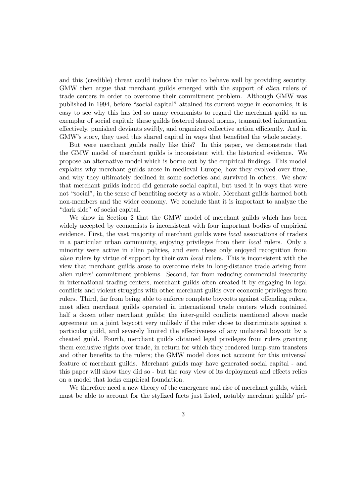and this (credible) threat could induce the ruler to behave well by providing security. GMW then argue that merchant guilds emerged with the support of alien rulers of trade centers in order to overcome their commitment problem. Although GMW was published in 1994, before "social capital" attained its current vogue in economics, it is easy to see why this has led so many economists to regard the merchant guild as an exemplar of social capital: these guilds fostered shared norms, transmitted information effectively, punished deviants swiftly, and organized collective action efficiently. And in GMW's story, they used this shared capital in ways that benefited the whole society.

But were merchant guilds really like this? In this paper, we demonstrate that the GMW model of merchant guilds is inconsistent with the historical evidence. We propose an alternative model which is borne out by the empirical Øndings. This model explains why merchant guilds arose in medieval Europe, how they evolved over time, and why they ultimately declined in some societies and survived in others. We show that merchant guilds indeed did generate social capital, but used it in ways that were not "social", in the sense of benefiting society as a whole. Merchant guilds harmed both non-members and the wider economy. We conclude that it is important to analyze the "dark side" of social capital.

We show in Section 2 that the GMW model of merchant guilds which has been widely accepted by economists is inconsistent with four important bodies of empirical evidence. First, the vast majority of merchant guilds were local associations of traders in a particular urban community, enjoying privileges from their local rulers. Only a minority were active in alien polities, and even these only enjoyed recognition from alien rulers by virtue of support by their own local rulers. This is inconsistent with the view that merchant guilds arose to overcome risks in long-distance trade arising from alien rulers' commitment problems. Second, far from reducing commercial insecurity in international trading centers, merchant guilds often created it by engaging in legal conflicts and violent struggles with other merchant guilds over economic privileges from rulers. Third, far from being able to enforce complete boycotts against offending rulers, most alien merchant guilds operated in international trade centers which contained half a dozen other merchant guilds; the inter-guild conflicts mentioned above made agreement on a joint boycott very unlikely if the ruler chose to discriminate against a particular guild, and severely limited the effectiveness of any unilateral boycott by a cheated guild. Fourth, merchant guilds obtained legal privileges from rulers granting them exclusive rights over trade, in return for which they rendered lump-sum transfers and other benefits to the rulers; the GMW model does not account for this universal feature of merchant guilds. Merchant guilds may have generated social capital - and this paper will show they did so - but the rosy view of its deployment and effects relies on a model that lacks empirical foundation.

We therefore need a new theory of the emergence and rise of merchant guilds, which must be able to account for the stylized facts just listed, notably merchant guilds' pri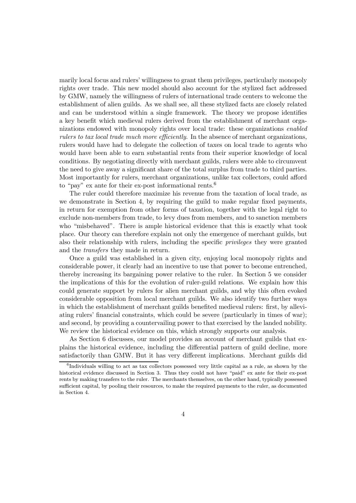marily local focus and rulers' willingness to grant them privileges, particularly monopoly rights over trade. This new model should also account for the stylized fact addressed by GMW, namely the willingness of rulers of international trade centers to welcome the establishment of alien guilds. As we shall see, all these stylized facts are closely related and can be understood within a single framework. The theory we propose identifies a key benefit which medieval rulers derived from the establishment of merchant organizations endowed with monopoly rights over local trade: these organizations enabled rulers to tax local trade much more efficiently. In the absence of merchant organizations, rulers would have had to delegate the collection of taxes on local trade to agents who would have been able to earn substantial rents from their superior knowledge of local conditions. By negotiating directly with merchant guilds, rulers were able to circumvent the need to give away a significant share of the total surplus from trade to third parties. Most importantly for rulers, merchant organizations, unlike tax collectors, could afford to "pay" ex ante for their ex-post informational rents.<sup>6</sup>

The ruler could therefore maximize his revenue from the taxation of local trade, as we demonstrate in Section 4, by requiring the guild to make regular fixed payments, in return for exemption from other forms of taxation, together with the legal right to exclude non-members from trade, to levy dues from members, and to sanction members who "misbehaved". There is ample historical evidence that this is exactly what took place. Our theory can therefore explain not only the emergence of merchant guilds, but also their relationship with rulers, including the specific *privileges* they were granted and the transfers they made in return.

Once a guild was established in a given city, enjoying local monopoly rights and considerable power, it clearly had an incentive to use that power to become entrenched, thereby increasing its bargaining power relative to the ruler. In Section 5 we consider the implications of this for the evolution of ruler-guild relations. We explain how this could generate support by rulers for alien merchant guilds, and why this often evoked considerable opposition from local merchant guilds. We also identify two further ways in which the establishment of merchant guilds benefited medieval rulers: first, by alleviating rulers' financial constraints, which could be severe (particularly in times of war); and second, by providing a countervailing power to that exercised by the landed nobility. We review the historical evidence on this, which strongly supports our analysis.

As Section 6 discusses, our model provides an account of merchant guilds that explains the historical evidence, including the diÆerential pattern of guild decline, more satisfactorily than GMW. But it has very different implications. Merchant guilds did

 $6$ Individuals willing to act as tax collectors possessed very little capital as a rule, as shown by the historical evidence discussed in Section 3. Thus they could not have "paid" ex ante for their ex-post rents by making transfers to the ruler. The merchants themselves, on the other hand, typically possessed sufficient capital, by pooling their resources, to make the required payments to the ruler, as documented in Section 4.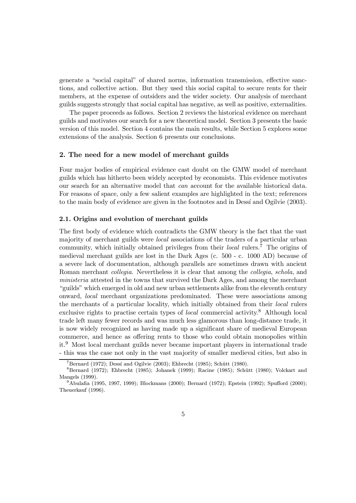generate a "social capital" of shared norms, information transmission, effective sanctions, and collective action. But they used this social capital to secure rents for their members, at the expense of outsiders and the wider society. Our analysis of merchant guilds suggests strongly that social capital has negative, as well as positive, externalities.

The paper proceeds as follows. Section 2 reviews the historical evidence on merchant guilds and motivates our search for a new theoretical model. Section 3 presents the basic version of this model. Section 4 contains the main results, while Section 5 explores some extensions of the analysis. Section 6 presents our conclusions.

#### 2. The need for a new model of merchant guilds

Four major bodies of empirical evidence cast doubt on the GMW model of merchant guilds which has hitherto been widely accepted by economists. This evidence motivates our search for an alternative model that can account for the available historical data. For reasons of space, only a few salient examples are highlighted in the text; references to the main body of evidence are given in the footnotes and in Dessi and Ogilvie (2003).

#### 2.1. Origins and evolution of merchant guilds

The first body of evidence which contradicts the GMW theory is the fact that the vast majority of merchant guilds were local associations of the traders of a particular urban community, which initially obtained privileges from their *local* rulers.<sup>7</sup> The origins of medieval merchant guilds are lost in the Dark Ages (c. 500 - c. 1000 AD) because of a severe lack of documentation, although parallels are sometimes drawn with ancient Roman merchant *collegia*. Nevertheless it is clear that among the *collegia*, *schola*, and ministeria attested in the towns that survived the Dark Ages, and among the merchant "guilds" which emerged in old and new urban settlements alike from the eleventh century onward, local merchant organizations predominated. These were associations among the merchants of a particular locality, which initially obtained from their local rulers exclusive rights to practise certain types of *local* commercial activity.<sup>8</sup> Although local trade left many fewer records and was much less glamorous than long-distance trade, it is now widely recognized as having made up a significant share of medieval European commerce, and hence as offering rents to those who could obtain monopolies within it.<sup>9</sup> Most local merchant guilds never became important players in international trade - this was the case not only in the vast majority of smaller medieval cities, but also in

<sup>&</sup>lt;sup>7</sup>Bernard (1972); Dessí and Ogilvie (2003); Ehbrecht (1985); Schütt (1980). 8Bernard (1972); Ehbrecht (1985); Johanek (1999); Racine (1985); Schütt (1980); Volckart and Mangels (1999).<br><sup>9</sup>Abulafia (1995, 1997, 1999); Blockmans (2000); Bernard (1972); Epstein (1992); Spufford (2000);

Theuerkauf (1996).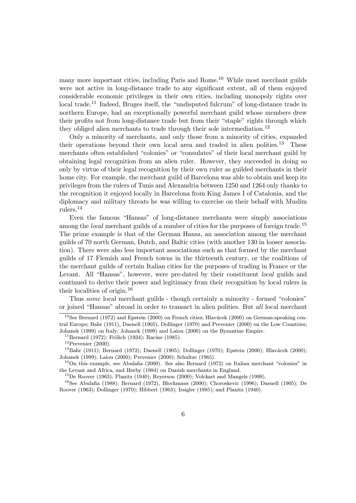many more important cities, including Paris and Rome.<sup>10</sup> While most merchant guilds were not active in long-distance trade to any significant extent, all of them enjoyed considerable economic privileges in their own cities, including monopoly rights over  $\alpha$ local trade.<sup>11</sup> Indeed, Bruges itself, the "undisputed fulcrum" of long-distance trade in northern Europe, had an exceptionally powerful merchant guild whose members drew their profits not from long-distance trade but from their "staple" rights through which they obliged alien merchants to trade through their sole intermediation.<sup>12</sup>

Only a minority of merchants, and only those from a minority of cities, expanded their operations beyond their own local area and traded in alien polities.<sup>13</sup> These merchants often established "colonies" or "consulates" of their local merchant guild by obtaining legal recognition from an alien ruler. However, they succeeded in doing so only by virtue of their legal recognition by their own ruler as guilded merchants in their home city. For example, the merchant guild of Barcelona was able to obtain and keep its privileges from the rulers of Tunis and Alexandria between 1250 and 1264 only thanks to the recognition it enjoyed locally in Barcelona from King James I of Catalonia, and the diplomacy and military threats he was willing to exercise on their behalf with Muslim rulers.<sup>14</sup>

Even the famous "Hansas" of long-distance merchants were simply associations among the *local* merchant guilds of a number of cities for the purposes of foreign trade.<sup>15</sup> The prime example is that of the German Hansa, an association among the merchant guilds of 70 north German, Dutch, and Baltic cities (with another 130 in looser association). There were also less important associations such as that formed by the merchant guilds of 17 Flemish and French towns in the thirteenth century, or the coalitions of the merchant guilds of certain Italian cities for the purposes of trading in France or the Levant. All "Hansas", however, were pre-dated by their constituent local guilds and continued to derive their power and legitimacy from their recognition by local rulers in their localities of origin.<sup>16</sup>

Thus some local merchant guilds - though certainly a minority - formed "colonies" or joined "Hansas" abroad in order to transact in alien polities. But all local merchant

Johanek (1999); Laiou (2000); Prevenier (2000); Schultze (1985).  $14$ On this example, see Abulafia (2000). See also Bernard (1972) on Italian merchant "colonies" in

the Levant and Africa, and Hørby (1984) on Danish merchants in England.<br><sup>15</sup>De Roover (1963); Planitz (1940); Reyerson (2000); Volckart and Mangels (1999).<br><sup>16</sup>See Abulafia (1988); Bernard (1972), Blockmans (2000); Choros

Roover (1963); Dollinger (1970); Hibbert (1963); Irsigler (1985); and Planitz (1940).

 $10$ See Bernard (1972) and Epstein (2000) on French cities; Hlavácek (2000) on German-speaking central Europe; Bahr (1911), Daenell (1905), Dollinger (1970) and Prevenier (2000) on the Low Countries; Johanek (1999) on Italy; Johanek (1999) and Laiou (2000) on the Byzantine Empire.<br><sup>11</sup>Bernard (1972); Frölich (1934); Racine (1985).<br><sup>12</sup>Prevenier (2000).<br><sup>13</sup>Bahr (1911); Bernard (1972); Daenell (1905); Dollinger (1970);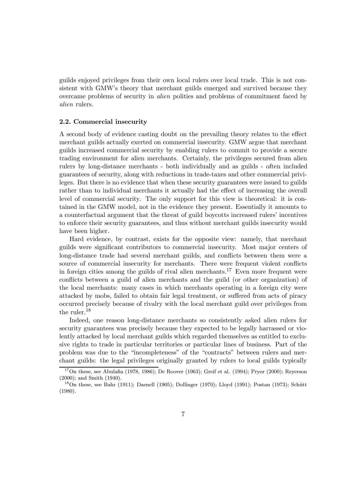guilds enjoyed privileges from their own local rulers over local trade. This is not consistent with GMW's theory that merchant guilds emerged and survived because they overcame problems of security in alien polities and problems of commitment faced by alien rulers.

#### 2.2. Commercial insecurity

A second body of evidence casting doubt on the prevailing theory relates to the eÆect merchant guilds actually exerted on commercial insecurity. GMW argue that merchant guilds increased commercial security by enabling rulers to commit to provide a secure trading environment for alien merchants. Certainly, the privileges secured from alien rulers by long-distance merchants - both individually and as guilds - often included guarantees of security, along with reductions in trade-taxes and other commercial privileges. But there is no evidence that when these security guarantees were issued to guilds rather than to individual merchants it actually had the effect of increasing the overall level of commercial security. The only support for this view is theoretical: it is contained in the GMW model, not in the evidence they present. Essentially it amounts to a counterfactual argument that the threat of guild boycotts increased rulers' incentives to enforce their security guarantees, and thus without merchant guilds insecurity would have been higher.

Hard evidence, by contrast, exists for the opposite view: namely, that merchant guilds were significant contributors to commercial insecurity. Most major centers of long-distance trade had several merchant guilds, and conflicts between them were a source of commercial insecurity for merchants. There were frequent violent conflicts in foreign cities among the guilds of rival alien merchants.<sup>17</sup> Even more frequent were conflicts between a guild of alien merchants and the guild (or other organization) of the local merchants: many cases in which merchants operating in a foreign city were attacked by mobs, failed to obtain fair legal treatment, or suffered from acts of piracy occurred precisely because of rivalry with the local merchant guild over privileges from the ruler.  $^{18}$ 

Indeed, one reason long-distance merchants so consistently asked alien rulers for security guarantees was precisely because they expected to be legally harrassed or violently attacked by local merchant guilds which regarded themselves as entitled to exclusive rights to trade in particular territories or particular lines of business. Part of the problem was due to the "incompleteness" of the "contracts" between rulers and merchant guilds: the legal privileges originally granted by rulers to local guilds typically

 $17$ On these, see Abulafia (1978, 1986); De Roover (1963); Greif et al. (1994); Pryor (2000); Reyerson (2000); and Smith (1940).<br><sup>18</sup>On these, see Bahr (1911); Daenell (1905); Dollinger (1970); Lloyd (1991); Postan (1973); Schütt

<sup>(1980).</sup>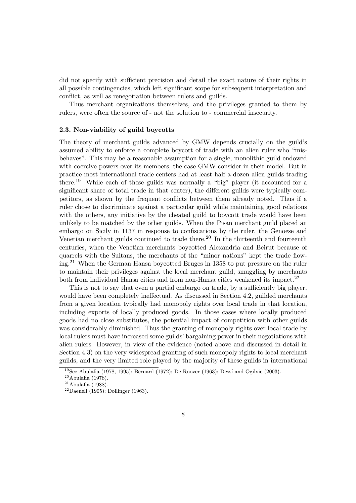did not specify with sufficient precision and detail the exact nature of their rights in all possible contingencies, which left significant scope for subsequent interpretation and conflict, as well as renegotiation between rulers and guilds.

Thus merchant organizations themselves, and the privileges granted to them by rulers, were often the source of - not the solution to - commercial insecurity.

#### 2.3. Non-viability of guild boycotts

The theory of merchant guilds advanced by GMW depends crucially on the guild's assumed ability to enforce a complete boycott of trade with an alien ruler who "misbehaves". This may be a reasonable assumption for a single, monolithic guild endowed with coercive powers over its members, the case GMW consider in their model. But in practice most international trade centers had at least half a dozen alien guilds trading there.<sup>19</sup> While each of these guilds was normally a "big" player (it accounted for a significant share of total trade in that center), the different guilds were typically competitors, as shown by the frequent conflicts between them already noted. Thus if a ruler chose to discriminate against a particular guild while maintaining good relations with the others, any initiative by the cheated guild to boycott trade would have been unlikely to be matched by the other guilds. When the Pisan merchant guild placed an embargo on Sicily in 1137 in response to confiscations by the ruler, the Genoese and Venetian merchant guilds continued to trade there.<sup>20</sup> In the thirteenth and fourteenth centuries, when the Venetian merchants boycotted Alexandria and Beirut because of quarrels with the Sultans, the merchants of the "minor nations" kept the trade flowing.<sup>21</sup> When the German Hansa boycotted Bruges in 1358 to put pressure on the ruler to maintain their privileges against the local merchant guild, smuggling by merchants both from individual Hansa cities and from non-Hansa cities weakened its impact.<sup>22</sup>

This is not to say that even a partial embargo on trade, by a sufficiently big player, would have been completely ineffectual. As discussed in Section 4.2, guilded merchants from a given location typically had monopoly rights over local trade in that location, including exports of locally produced goods. In those cases where locally produced goods had no close substitutes, the potential impact of competition with other guilds was considerably diminished. Thus the granting of monopoly rights over local trade by local rulers must have increased some guilds' bargaining power in their negotiations with alien rulers. However, in view of the evidence (noted above and discussed in detail in Section 4.3) on the very widespread granting of such monopoly rights to local merchant guilds, and the very limited role played by the majority of these guilds in international

<sup>&</sup>lt;sup>19</sup>See Abulafia (1978, 1995); Bernard (1972); De Roover (1963); Dessí and Ogilvie (2003). <sup>20</sup>Abulafia (1978). <sup>21</sup>Abulafia (1988). <sup>22</sup>Daenell (1905); Dollinger (1963).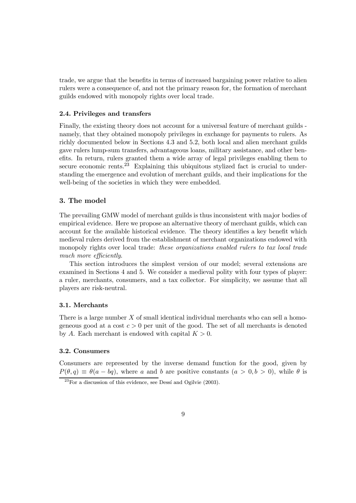trade, we argue that the benefits in terms of increased bargaining power relative to alien rulers were a consequence of, and not the primary reason for, the formation of merchant guilds endowed with monopoly rights over local trade.

#### 2.4. Privileges and transfers

Finally, the existing theory does not account for a universal feature of merchant guilds namely, that they obtained monopoly privileges in exchange for payments to rulers. As richly documented below in Sections 4.3 and 5.2, both local and alien merchant guilds gave rulers lump-sum transfers, advantageous loans, military assistance, and other benefits. In return, rulers granted them a wide array of legal privileges enabling them to secure economic rents.<sup>23</sup> Explaining this ubiquitous stylized fact is crucial to understanding the emergence and evolution of merchant guilds, and their implications for the well-being of the societies in which they were embedded.

#### 3. The model

The prevailing GMW model of merchant guilds is thus inconsistent with major bodies of empirical evidence. Here we propose an alternative theory of merchant guilds, which can account for the available historical evidence. The theory identifies a key benefit which medieval rulers derived from the establishment of merchant organizations endowed with monopoly rights over local trade: these organizations enabled rulers to tax local trade much more efficiently.

This section introduces the simplest version of our model; several extensions are examined in Sections 4 and 5. We consider a medieval polity with four types of player: a ruler, merchants, consumers, and a tax collector. For simplicity, we assume that all players are risk-neutral.

#### 3.1. Merchants

There is a large number  $X$  of small identical individual merchants who can sell a homogeneous good at a cost  $c > 0$  per unit of the good. The set of all merchants is denoted by A. Each merchant is endowed with capital  $K > 0$ .

#### 3.2. Consumers

Consumers are represented by the inverse demand function for the good, given by  $P(\theta, q) \equiv \theta(a - bq)$ , where a and b are positive constants  $(a > 0, b > 0)$ , while  $\theta$  is

 $23$  For a discussion of this evidence, see Dessí and Ogilvie (2003).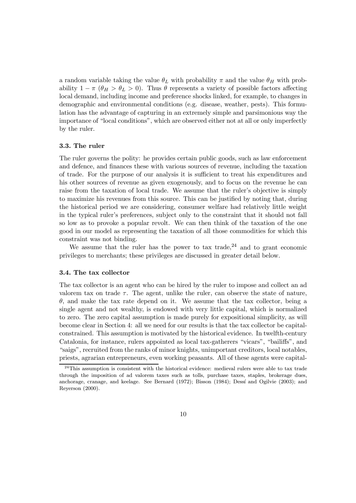a random variable taking the value  $\theta_L$  with probability  $\pi$  and the value  $\theta_H$  with probability  $1 - \pi$  ( $\theta_H > \theta_L > 0$ ). Thus  $\theta$  represents a variety of possible factors affecting local demand, including income and preference shocks linked, for example, to changes in demographic and environmental conditions (e.g. disease, weather, pests). This formulation has the advantage of capturing in an extremely simple and parsimonious way the importance of "local conditions", which are observed either not at all or only imperfectly by the ruler.

#### 3.3. The ruler

The ruler governs the polity: he provides certain public goods, such as law enforcement and defence, and finances these with various sources of revenue, including the taxation of trade. For the purpose of our analysis it is sufficient to treat his expenditures and his other sources of revenue as given exogenously, and to focus on the revenue he can raise from the taxation of local trade. We assume that the ruler's objective is simply to maximize his revenues from this source. This can be justified by noting that, during the historical period we are considering, consumer welfare had relatively little weight in the typical ruler's preferences, subject only to the constraint that it should not fall so low as to provoke a popular revolt. We can then think of the taxation of the one good in our model as representing the taxation of all those commodities for which this constraint was not binding.

We assume that the ruler has the power to tax trade,  $24$  and to grant economic privileges to merchants; these privileges are discussed in greater detail below.

#### 3.4. The tax collector

The tax collector is an agent who can be hired by the ruler to impose and collect an ad valorem tax on trade  $\tau$ . The agent, unlike the ruler, can observe the state of nature,  $\theta$ , and make the tax rate depend on it. We assume that the tax collector, being a single agent and not wealthy, is endowed with very little capital, which is normalized to zero. The zero capital assumption is made purely for expositional simplicity, as will become clear in Section 4: all we need for our results is that the tax collector be capitalconstrained. This assumption is motivated by the historical evidence. In twelfth-century Catalonia, for instance, rulers appointed as local tax-gatherers "vicars", "bailiffs", and "saigs", recruited from the ranks of minor knights, unimportant creditors, local notables, priests, agrarian entrepreneurs, even working peasants. All of these agents were capital-

 $24$ This assumption is consistent with the historical evidence: medieval rulers were able to tax trade through the imposition of ad valorem taxes such as tolls, purchase taxes, staples, brokerage dues, anchorage, cranage, and keelage. See Bernard (1972); Bisson (1984); Dessí and Ogilvie (2003); and Reyerson (2000).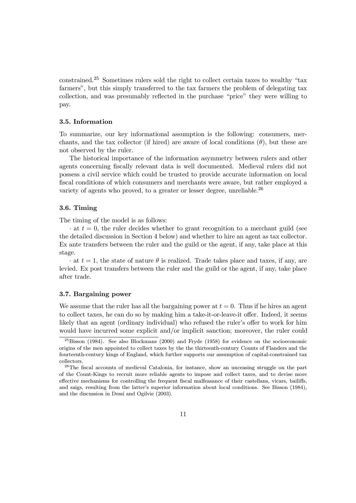constrained.<sup>25</sup> Sometimes rulers sold the right to collect certain taxes to wealthy "tax farmers", but this simply transferred to the tax farmers the problem of delegating tax collection, and was presumably reflected in the purchase "price" they were willing to pay.

#### 3.5. Information

To summarize, our key informational assumption is the following: consumers, merchants, and the tax collector (if hired) are aware of local conditions  $(\theta)$ , but these are not observed by the ruler.

The historical importance of the information asymmetry between rulers and other agents concerning fiscally relevant data is well documented. Medieval rulers did not possess a civil service which could be trusted to provide accurate information on local fiscal conditions of which consumers and merchants were aware, but rather employed a variety of agents who proved, to a greater or lesser degree, unreliable.<sup>26</sup>

#### 3.6. Timing

The timing of the model is as follows:

 $\cdot$  at  $t = 0$ , the ruler decides whether to grant recognition to a merchant guild (see the detailed discussion in Section 4 below) and whether to hire an agent as tax collector. Ex ante transfers between the ruler and the guild or the agent, if any, take place at this stage.

 $\cdot$  at  $t = 1$ , the state of nature  $\theta$  is realized. Trade takes place and taxes, if any, are levied. Ex post transfers between the ruler and the guild or the agent, if any, take place after trade.

#### 3.7. Bargaining power

We assume that the ruler has all the bargaining power at  $t = 0$ . Thus if he hires an agent to collect taxes, he can do so by making him a take-it-or-leave-it offer. Indeed, it seems likely that an agent (ordinary individual) who refused the ruler's offer to work for him would have incurred some explicit and/or implicit sanction; moreover, the ruler could

<sup>25</sup>Bisson (1984). See also Blockmans (2000) and Fryde (1958) for evidence on the socioeconomic origins of the men appointed to collect taxes by the the thirteenth-century Counts of Flanders and the fourteenth-century kings of England, which further supports our assumption of capital-constrained tax

<sup>&</sup>lt;sup>26</sup>The fiscal accounts of medieval Catalonia, for instance, show an unceasing struggle on the part of the Count-Kings to recruit more reliable agents to impose and collect taxes, and to devise more effective mechanisms for controlling the frequent fiscal malfeasance of their castellans, vicars, bailiffs, and saigs, resulting from the latter's superior information about local conditions. See Bisson (1984), and the discussion in Dessí and Ogilvie (2003).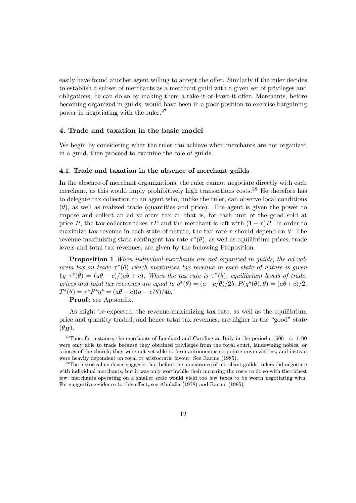easily have found another agent willing to accept the offer. Similarly if the ruler decides to establish a subset of merchants as a merchant guild with a given set of privileges and obligations, he can do so by making them a take-it-or-leave-it offer. Merchants, before becoming organized in guilds, would have been in a poor position to exercise bargaining power in negotiating with the ruler.<sup>27</sup>

#### 4. Trade and taxation in the basic model

We begin by considering what the ruler can achieve when merchants are not organized in a guild, then proceed to examine the role of guilds.

#### 4.1. Trade and taxation in the absence of merchant guilds

In the absence of merchant organizations, the ruler cannot negotiate directly with each merchant, as this would imply prohibitively high transactions costs.<sup>28</sup> He therefore has to delegate tax collection to an agent who, unlike the ruler, can observe local conditions  $(\theta)$ , as well as realized trade (quantities and price). The agent is given the power to impose and collect an ad valorem tax  $\tau$ : that is, for each unit of the good sold at price P, the tax collector takes  $\tau P$  and the merchant is left with  $(1 - \tau)P$ . In order to maximize tax revenue in each state of nature, the tax rate  $\tau$  should depend on  $\theta$ . The revenue-maximizing state-contingent tax rate  $\tau^*(\theta)$ , as well as equilibrium prices, trade levels and total tax revenues, are given by the following Proposition.

Proposition 1 When individual merchants are not organized in guilds, the ad valorem tax on trade  $\tau^*(\theta)$  which maximizes tax revenue in each state of nature is given by  $\tau^*(\theta)=(a\theta-c)/(a\theta+c)$ . When the tax rate is  $\tau^*(\theta)$ , equilibrium levels of trade, prices and total tax revenues are equal to  $q^*(\theta)=(a-c/\theta)/2b$ ,  $P(q^*(\theta), \theta)=(a\theta+c)/2$ ,  $T^*(\theta) = \tau^* P^* q^* = (a\theta - c)(a - c/\theta)/4b.$ 

Proof: see Appendix.

As might be expected, the revenue-maximizing tax rate, as well as the equilibrium price and quantity traded, and hence total tax revenues, are higher in the "good" state  $(\theta_H)$ .

 $27$ Thus, for instance, the merchants of Lombard and Carolingian Italy in the period c. 600 - c. 1100 were only able to trade because they obtained privileges from the royal court, landowning nobles, or princes of the church; they were not yet able to form autonomous corporate organizations, and instead

were heavily dependent on royal or aristocratic favour. See Racine (1985).<br><sup>28</sup>The historical evidence suggests that before the appearance of merchant guilds, rulers did negotiate with individual merchants, but it was only worthwhile their incurring the costs to do so with the richest few; merchants operating on a smaller scale would yield too few taxes to be worth negotiating with. For suggestive evidence to this effect, see Abulafia (1978) and Racine (1985).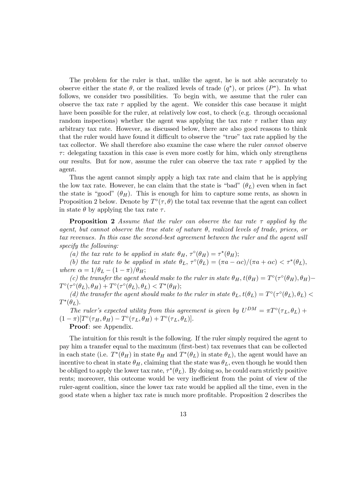The problem for the ruler is that, unlike the agent, he is not able accurately to observe either the state  $\theta$ , or the realized levels of trade  $(q^*)$ , or prices  $(P^*)$ . In what follows, we consider two possibilities. To begin with, we assume that the ruler can observe the tax rate  $\tau$  applied by the agent. We consider this case because it might have been possible for the ruler, at relatively low cost, to check (e.g. through occasional random inspections) whether the agent was applying the tax rate  $\tau$  rather than any arbitrary tax rate. However, as discussed below, there are also good reasons to think that the ruler would have found it difficult to observe the "true" tax rate applied by the tax collector. We shall therefore also examine the case where the ruler cannot observe  $\tau$ : delegating taxation in this case is even more costly for him, which only strengthens our results. But for now, assume the ruler can observe the tax rate  $\tau$  applied by the agent.

Thus the agent cannot simply apply a high tax rate and claim that he is applying the low tax rate. However, he can claim that the state is "bad"  $(\theta_L)$  even when in fact the state is "good"  $(\theta_H)$ . This is enough for him to capture some rents, as shown in Proposition 2 below. Denote by  $T^{\circ}(\tau,\theta)$  the total tax revenue that the agent can collect in state  $\theta$  by applying the tax rate  $\tau$ .

**Proposition 2** Assume that the ruler can observe the tax rate  $\tau$  applied by the agent, but cannot observe the true state of nature  $\theta$ , realized levels of trade, prices, or tax revenues. In this case the second-best agreement between the ruler and the agent will specify the following:

(a) the tax rate to be applied in state  $\theta_H$ ,  $\tau^{\circ}(\theta_H) = \tau^*(\theta_H);$ 

(b) the tax rate to be applied in state  $\theta_L$ ,  $\tau^{\circ}(\theta_L)=(\pi a - \alpha c)/(\pi a + \alpha c) < \tau^*(\theta_L)$ , where  $\alpha = 1/\theta_L - (1-\pi)/\theta_H;$ 

(c) the transfer the agent should make to the ruler in state  $\theta_H$ ,  $t(\theta_H) = T^{\circ}(\tau^{\circ}(\theta_H), \theta_H) T^{\circ}(\tau^{\circ}(\theta_L), \theta_H) + T^{\circ}(\tau^{\circ}(\theta_L), \theta_L) < T^*(\theta_H);$ 

(d) the transfer the agent should make to the ruler in state  $\theta_L$ ,  $t(\theta_L) = T^{\circ}(\tau^{\circ}(\theta_L), \theta_L)$  $T^*(\theta_L)$ .

The ruler's expected utility from this agreement is given by  $U^{DM} = \pi T^{\circ}(\tau_L, \theta_L) +$  $(1 - \pi)[T^{\circ}(\tau_H, \theta_H) - T^{\circ}(\tau_L, \theta_H) + T^{\circ}(\tau_L, \theta_L)].$ 

Proof: see Appendix.

The intuition for this result is the following. If the ruler simply required the agent to pay him a transfer equal to the maximum (first-best) tax revenues that can be collected in each state (i.e.  $T^*(\theta_H)$  in state  $\theta_H$  and  $T^*(\theta_L)$  in state  $\theta_L$ ), the agent would have an incentive to cheat in state  $\theta_H$ , claiming that the state was  $\theta_L$ , even though he would then be obliged to apply the lower tax rate,  $\tau^*(\theta_L)$ . By doing so, he could earn strictly positive rents; moreover, this outcome would be very inefficient from the point of view of the ruler-agent coalition, since the lower tax rate would be applied all the time, even in the good state when a higher tax rate is much more profitable. Proposition 2 describes the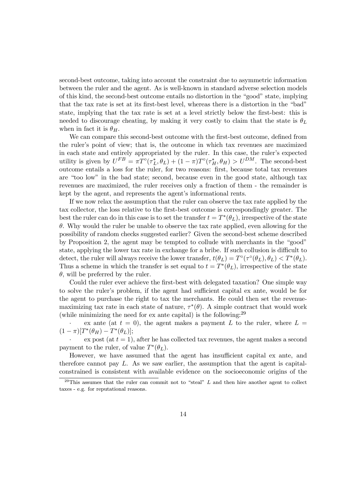second-best outcome, taking into account the constraint due to asymmetric information between the ruler and the agent. As is well-known in standard adverse selection models of this kind, the second-best outcome entails no distortion in the \good" state, implying that the tax rate is set at its first-best level, whereas there is a distortion in the "bad" state, implying that the tax rate is set at a level strictly below the first-best: this is needed to discourage cheating, by making it very costly to claim that the state is  $\theta_L$ when in fact it is  $\theta_H$ .

We can compare this second-best outcome with the first-best outcome, defined from the ruler's point of view; that is, the outcome in which tax revenues are maximized in each state and entirely appropriated by the ruler. In this case, the ruler's expected utility is given by  $U^{FB} = \pi T^{\circ}(\tau_L^*, \theta_L) + (1 - \pi) T^{\circ}(\tau_H^*, \theta_H) > U^{DM}$ . The second-best outcome entails a loss for the ruler, for two reasons: first, because total tax revenues are "too low" in the bad state; second, because even in the good state, although tax revenues are maximized, the ruler receives only a fraction of them - the remainder is kept by the agent, and represents the agent's informational rents.

If we now relax the assumption that the ruler can observe the tax rate applied by the tax collector, the loss relative to the first-best outcome is correspondingly greater. The best the ruler can do in this case is to set the transfer  $t = T^*(\theta_L)$ , irrespective of the state  $\theta$ . Why would the ruler be unable to observe the tax rate applied, even allowing for the possibility of random checks suggested earlier? Given the second-best scheme described by Proposition 2, the agent may be tempted to collude with merchants in the "good" state, applying the lower tax rate in exchange for a bribe. If such collusion is difficult to detect, the ruler will always receive the lower transfer,  $t(\theta_L) = T^{\circ}(\tau^{\circ}(\theta_L), \theta_L) < T^*(\theta_L)$ . Thus a scheme in which the transfer is set equal to  $t = T^*(\theta_L)$ , irrespective of the state  $\theta$ , will be preferred by the ruler.

Could the ruler ever achieve the first-best with delegated taxation? One simple way to solve the ruler's problem, if the agent had sufficient capital ex ante, would be for the agent to purchase the right to tax the merchants. He could then set the revenuemaximizing tax rate in each state of nature,  $\tau^*(\theta)$ . A simple contract that would work (while minimizing the need for  $ex$  ante capital) is the following:<sup>29</sup>

ex ante (at  $t = 0$ ), the agent makes a payment L to the ruler, where  $L =$  $(1 - \pi)[T^*(\theta_H) - T^*(\theta_L)];$ 

 $\alpha$  ex post (at  $t = 1$ ), after he has collected tax revenues, the agent makes a second payment to the ruler, of value  $T^*(\theta_L)$ .

However, we have assumed that the agent has insufficient capital ex ante, and therefore cannot pay L. As we saw earlier, the assumption that the agent is capitalconstrained is consistent with available evidence on the socioeconomic origins of the

<sup>&</sup>lt;sup>29</sup>This assumes that the ruler can commit not to "steal"  $L$  and then hire another agent to collect taxes - e.g. for reputational reasons.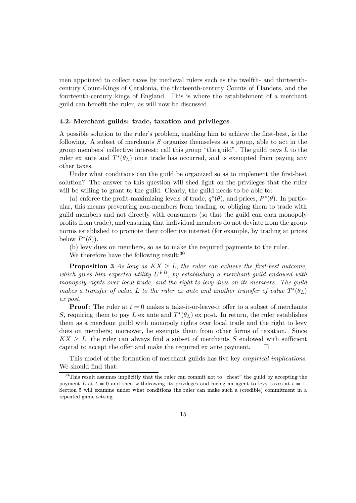men appointed to collect taxes by medieval rulers such as the twelfth- and thirteenthcentury Count-Kings of Catalonia, the thirteenth-century Counts of Flanders, and the fourteenth-century kings of England. This is where the establishment of a merchant guild can benefit the ruler, as will now be discussed.

#### 4.2. Merchant guilds: trade, taxation and privileges

A possible solution to the ruler's problem, enabling him to achieve the first-best, is the following. A subset of merchants S organize themselves as a group, able to act in the group members' collective interest: call this group "the guild". The guild pays  $L$  to the ruler ex ante and  $T^*(\theta_L)$  once trade has occurred, and is exempted from paying any other taxes.

Under what conditions can the guild be organized so as to implement the first-best solution? The answer to this question will shed light on the privileges that the ruler will be willing to grant to the guild. Clearly, the guild needs to be able to:

(a) enforce the profit-maximizing levels of trade,  $q^*(\theta)$ , and prices,  $P^*(\theta)$ . In particular, this means preventing non-members from trading, or obliging them to trade with guild members and not directly with consumers (so that the guild can earn monopoly profits from trade), and ensuring that individual members do not deviate from the group norms established to promote their collective interest (for example, by trading at prices below  $P^*(\theta)$ .

(b) levy dues on members, so as to make the required payments to the ruler.

We therefore have the following result:<sup>30</sup>

**Proposition 3** As long as  $KX \geq L$ , the ruler can achieve the first-best outcome, which gives him expected utility  $U^{FB}$ , by establishing a merchant guild endowed with monopoly rights over local trade, and the right to levy dues on its members. The guild makes a transfer of value L to the ruler ex ante and another transfer of value  $T^*(\theta_L)$ ex post.

**Proof:** The ruler at  $t = 0$  makes a take-it-or-leave-it offer to a subset of merchants S, requiring them to pay L ex ante and  $T^*(\theta_L)$  ex post. In return, the ruler establishes them as a merchant guild with monopoly rights over local trade and the right to levy dues on members; moreover, he exempts them from other forms of taxation. Since  $KX \geq L$ , the ruler can always find a subset of merchants S endowed with sufficient capital to accept the offer and make the required ex ante payment.  $\Box$ 

This model of the formation of merchant guilds has five key *empirical implications*. We should find that:

 $30$ This result assumes implicitly that the ruler can commit not to "cheat" the guild by accepting the payment L at  $t = 0$  and then withdrawing its privileges and hiring an agent to levy taxes at  $t = 1$ . Section 5 will examine under what conditions the ruler can make such a (credible) commitment in a repeated game setting.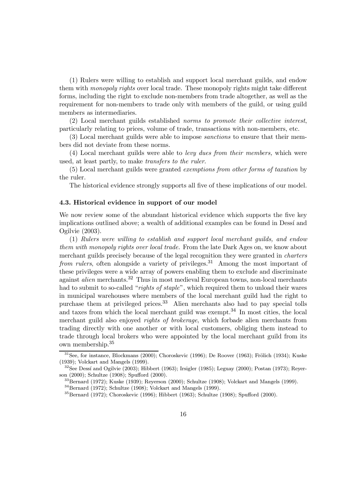(1) Rulers were willing to establish and support local merchant guilds, and endow them with *monopoly rights* over local trade. These monopoly rights might take different forms, including the right to exclude non-members from trade altogether, as well as the requirement for non-members to trade only with members of the guild, or using guild members as intermediaries.

(2) Local merchant guilds established norms to promote their collective interest, particularly relating to prices, volume of trade, transactions with non-members, etc.

(3) Local merchant guilds were able to impose sanctions to ensure that their members did not deviate from these norms.

(4) Local merchant guilds were able to levy dues from their members, which were used, at least partly, to make transfers to the ruler.

(5) Local merchant guilds were granted exemptions from other forms of taxation by the ruler.

The historical evidence strongly supports all five of these implications of our model.

#### 4.3. Historical evidence in support of our model

We now review some of the abundant historical evidence which supports the five key implications outlined above; a wealth of additional examples can be found in Dessi and Ogilvie (2003).

(1) Rulers were willing to establish and support local merchant guilds, and endow them with monopoly rights over local trade. From the late Dark Ages on, we know about merchant guilds precisely because of the legal recognition they were granted in charters *from rulers*, often alongside a variety of privileges.<sup>31</sup> Among the most important of these privileges were a wide array of powers enabling them to exclude and discriminate against *alien* merchants.<sup>32</sup> Thus in most medieval European towns, non-local merchants had to submit to so-called "rights of staple", which required them to unload their wares in municipal warehouses where members of the local merchant guild had the right to purchase them at privileged prices.<sup>33</sup> Alien merchants also had to pay special tolls and taxes from which the local merchant guild was exempt.<sup>34</sup> In most cities, the local merchant guild also enjoyed rights of brokerage, which forbade alien merchants from trading directly with one another or with local customers, obliging them instead to trade through local brokers who were appointed by the local merchant guild from its own membership.<sup>35</sup>

 $31$ See, for instance, Blockmans (2000); Choroskevic (1996); De Roover (1963); Frölich (1934); Kuske (1939); Volckart and Mangels (1999).<br><sup>32</sup>See Dessí and Ogilvie (2003); Hibbert (1963); Irsigler (1985); Leguay (2000); Postan (1973); Reyer-

son (2000); Schultze (1908); Spufford (2000).<br><sup>33</sup>Bernard (1972); Kuske (1939); Reyerson (2000); Schultze (1908); Volckart and Mangels (1999).<br><sup>34</sup>Bernard (1972); Schultze (1908); Volckart and Mangels (1999).<br><sup>35</sup>Bernard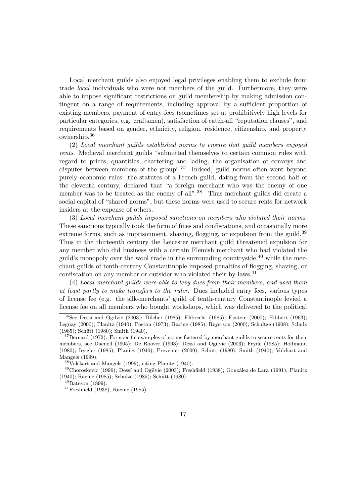Local merchant guilds also enjoyed legal privileges enabling them to exclude from trade local individuals who were not members of the guild. Furthermore, they were able to impose significant restrictions on guild membership by making admission contingent on a range of requirements, including approval by a sufficient proportion of existing members, payment of entry fees (sometimes set at prohibitively high levels for particular categories, e.g. craftsmen), satisfaction of catch-all \reputation clauses", and requirements based on gender, ethnicity, religion, residence, citizenship, and property ownership.<sup>36</sup>

(2) Local merchant guilds established norms to ensure that guild members enjoyed rents. Medieval merchant guilds "submitted themselves to certain common rules with regard to prices, quantities, chartering and lading, the organisation of convoys and disputes between members of the group".<sup>37</sup> Indeed, guild norms often went beyond purely economic rules: the statutes of a French guild, dating from the second half of the eleventh century, declared that "a foreign merchant who was the enemy of one member was to be treated as the enemy of all".<sup>38</sup> Thus merchant guilds did create a social capital of "shared norms", but these norms were used to secure rents for network insiders at the expense of others.

(3) Local merchant guilds imposed sanctions on members who violated their norms. These sanctions typically took the form of fines and confiscations, and occasionally more extreme forms, such as imprisonment, shaving, flogging, or expulsion from the guild.<sup>39</sup> Thus in the thirteenth century the Leicester merchant guild threatened expulsion for any member who did business with a certain Flemish merchant who had violated the guild's monopoly over the wool trade in the surrounding countryside,  $40$  while the merchant guilds of tenth-century Constantinople imposed penalties of flogging, shaving, or confiscation on any member or outsider who violated their by-laws.<sup>41</sup>

(4) Local merchant guilds were able to levy dues from their members, and used them at least partly to make transfers to the ruler. Dues included entry fees, various types of license fee (e.g. the silk-merchants' guild of tenth-century Constantinople levied a license fee on all members who bought workshops, which was delivered to the political

 $36$ See Dessí and Ogilvie (2003); Dilcher (1985); Ehbrecht (1985); Epstein (2000); Hibbert (1963); Leguay (2000); Planitz (1940); Postan (1973); Racine (1985); Reyerson (2000); Schultze (1908); Schulz (1985); Schütt (1980); Smith (1940).<br><sup>37</sup>Bernard (1972). For specific examples of norms fostered by merchant guilds to secure rents for their

members, see Daenell (1905); De Roover (1963); Dessí and Ogilvie (2003); Fryde (1985); Hoffmann (1980); Irsigler (1985); Planitz (1940); Prevenier (2000); Schütt (1980); Smith (1940); Volckart and Mangels (1999).<br><sup>38</sup>Volckart and Mangels (1999), citing Planitz (1940).<br><sup>39</sup>Choroskevic (1996); Dessí and Ogilvie (2003); Freshfield (1938); González de Lara (1991); Planitz

<sup>(1940);</sup> Racine (1985); Schulze (1985); Schütt (1980).<br><sup>40</sup>Bateson (1899).<br><sup>41</sup>Freshfield (1938), Racine (1985).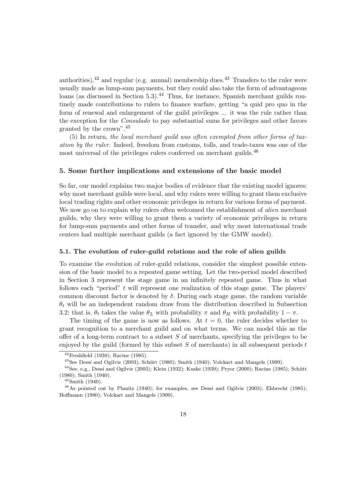authorities),  $42$  and regular (e.g. annual) membership dues.  $43$  Transfers to the ruler were usually made as lump-sum payments, but they could also take the form of advantageous loans (as discussed in Section 5.3).<sup>44</sup> Thus, for instance, Spanish merchant guilds routinely made contributions to rulers to finance warfare, getting "a quid pro quo in the form of renewal and enlargement of the guild privileges ... it was the rule rather than the exception for the Consulado to pay substantial sums for privileges and other favors granted by the crown".<sup>45</sup>

(5) In return, the local merchant guild was often exempted from other forms of taxation by the ruler. Indeed, freedom from customs, tolls, and trade-taxes was one of the most universal of the privileges rulers conferred on merchant guilds.<sup>46</sup>

#### 5. Some further implications and extensions of the basic model

So far, our model explains two major bodies of evidence that the existing model ignores: why most merchant guilds were local, and why rulers were willing to grant them exclusive local trading rights and other economic privileges in return for various forms of payment. We now go on to explain why rulers often welcomed the establishment of *alien* merchant guilds, why they were willing to grant them a variety of economic privileges in return for lump-sum payments and other forms of transfer, and why most international trade centers had multiple merchant guilds (a fact ignored by the GMW model).

#### 5.1. The evolution of ruler-guild relations and the role of alien guilds

To examine the evolution of ruler-guild relations, consider the simplest possible extension of the basic model to a repeated game setting. Let the two-period model described in Section 3 represent the stage game in an infinitely repeated game. Thus in what follows each "period"  $t$  will represent one realization of this stage game. The players' common discount factor is denoted by  $\delta$ . During each stage game, the random variable  $\theta_t$  will be an independent random draw from the distribution described in Subsection 3.2; that is,  $\theta_t$  takes the value  $\theta_L$  with probability  $\pi$  and  $\theta_H$  with probability  $1 - \pi$ .

The timing of the game is now as follows. At  $t = 0$ , the ruler decides whether to grant recognition to a merchant guild and on what terms. We can model this as the offer of a long-term contract to a subset  $S$  of merchants, specifying the privileges to be enjoyed by the guild (formed by this subset  $S$  of merchants) in all subsequent periods  $t$ 

<sup>&</sup>lt;sup>42</sup>Freshfield (1938); Racine (1985).<br><sup>43</sup>See Dessí and Ogilvie (2003); Schütt (1980); Smith (1940); Volckart and Mangels (1999).<br><sup>44</sup>See, e.g., Dessí and Ogilvie (2003); Klein (1932); Kuske (1939); Pryor (2000); Racine ( (1980); Smith (1940).  $^{45}$ Smith (1940).<br> $^{46}$ As pointed out by Planitz (1940); for examples, see Dessí and Ogilvie (2003); Ehbrecht (1985);

Hoffmann (1980); Volckart and Mangels (1999).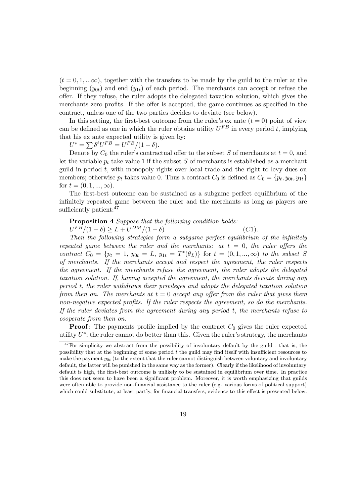$(t = 0, 1, \ldots \infty)$ , together with the transfers to be made by the guild to the ruler at the beginning  $(y_{0t})$  and end  $(y_{1t})$  of each period. The merchants can accept or refuse the oÆer. If they refuse, the ruler adopts the delegated taxation solution, which gives the merchants zero profits. If the offer is accepted, the game continues as specified in the contract, unless one of the two parties decides to deviate (see below).

In this setting, the first-best outcome from the ruler's ex ante  $(t = 0)$  point of view can be defined as one in which the ruler obtains utility  $U^{FB}$  in every period t, implying that his ex ante expected utility is given by:

t his ex ante expected utility is<br>  $U^* = \sum \delta^t U^{FB} = U^{FB}/(1 - \delta).$ 

Denote by  $C_0$  the ruler's contractual offer to the subset S of merchants at  $t = 0$ , and let the variable  $p_t$  take value 1 if the subset S of merchants is established as a merchant guild in period  $t$ , with monopoly rights over local trade and the right to levy dues on members; otherwise  $p_t$  takes value 0. Thus a contract  $C_0$  is defined as  $C_0 = \{p_t, y_{0t}, y_{1t}\}$ for  $t = (0, 1, ..., \infty)$ .

The first-best outcome can be sustained as a subgame perfect equilibrium of the infinitely repeated game between the ruler and the merchants as long as players are sufficiently patient: $47$ 

#### Proposition 4 Suppose that the following condition holds:

 $U^{FB}/(1 - \delta) \ge L + U^{DM}/(1 - \delta)$  (C1).

Then the following strategies form a subgame perfect equilibrium of the infinitely repeated game between the ruler and the merchants: at  $t = 0$ , the ruler offers the contract  $C_0 = \{p_t = 1, y_{0t} = L, y_{1t} = T^*(\theta_L)\}\$  for  $t = (0, 1, ..., \infty)$  to the subset S of merchants. If the merchants accept and respect the agreement, the ruler respects the agreement. If the merchants refuse the agreement, the ruler adopts the delegated taxation solution. If, having accepted the agreement, the merchants deviate during any period t, the ruler withdraws their privileges and adopts the delegated taxation solution from then on. The merchants at  $t = 0$  accept any offer from the ruler that gives them non-negative expected profits. If the ruler respects the agreement, so do the merchants. If the ruler deviates from the agreement during any period t, the merchants refuse to cooperate from then on.

**Proof:** The payments profile implied by the contract  $C_0$  gives the ruler expected utility  $U^*$ ; the ruler cannot do better than this. Given the ruler's strategy, the merchants

 $47$ For simplicity we abstract from the possibility of involuntary default by the guild - that is, the possibility that at the beginning of some period  $t$  the guild may find itself with insufficient resources to make the payment  $y_{0t}$  (to the extent that the ruler cannot distinguish between voluntary and involuntary default, the latter will be punished in the same way as the former). Clearly if the likelihood of involuntary default is high, the first-best outcome is unlikely to be sustained in equilibrium over time. In practice this does not seem to have been a significant problem. Moreover, it is worth emphasizing that guilds were often able to provide non-financial assistance to the ruler (e.g. various forms of political support) which could substitute, at least partly, for financial transfers; evidence to this effect is presented below.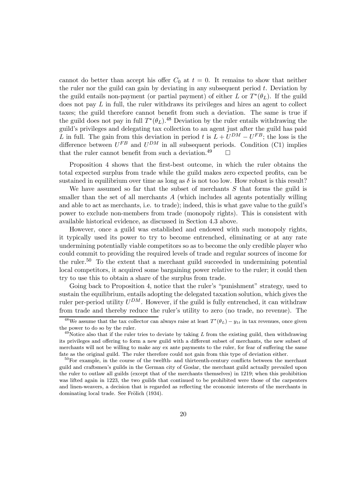cannot do better than accept his offer  $C_0$  at  $t = 0$ . It remains to show that neither the ruler nor the guild can gain by deviating in any subsequent period  $t$ . Deviation by the guild entails non-payment (or partial payment) of either L or  $T^*(\theta_L)$ . If the guild does not pay  $L$  in full, the ruler withdraws its privileges and hires an agent to collect taxes; the guild therefore cannot benefit from such a deviation. The same is true if the guild does not pay in full  $T^*(\theta_L)$ .<sup>48</sup> Deviation by the ruler entails withdrawing the guild's privileges and delegating tax collection to an agent just after the guild has paid L in full. The gain from this deviation in period t is  $L + U^{DM} - U^{FB}$ ; the loss is the difference between  $U^{FB}$  and  $U^{DM}$  in all subsequent periods. Condition (C1) implies that the ruler cannot benefit from such a deviation.<sup>49</sup>  $\Box$ 

Proposition 4 shows that the first-best outcome, in which the ruler obtains the total expected surplus from trade while the guild makes zero expected profits, can be sustained in equilibrium over time as long as  $\delta$  is not too low. How robust is this result?

We have assumed so far that the subset of merchants  $S$  that forms the guild is smaller than the set of all merchants  $A$  (which includes all agents potentially willing and able to act as merchants, i.e. to trade); indeed, this is what gave value to the guild's power to exclude non-members from trade (monopoly rights). This is consistent with available historical evidence, as discussed in Section 4.3 above.

However, once a guild was established and endowed with such monopoly rights, it typically used its power to try to become entrenched, eliminating or at any rate undermining potentially viable competitors so as to become the only credible player who could commit to providing the required levels of trade and regular sources of income for the ruler.<sup>50</sup> To the extent that a merchant guild succeeded in undermining potential local competitors, it acquired some bargaining power relative to the ruler; it could then try to use this to obtain a share of the surplus from trade.

Going back to Proposition 4, notice that the ruler's "punishment" strategy, used to sustain the equilibrium, entails adopting the delegated taxation solution, which gives the ruler per-period utility  $U^{DM}$ . However, if the guild is fully entrenched, it can withdraw from trade and thereby reduce the ruler's utility to zero (no trade, no revenue). The

<sup>&</sup>lt;sup>48</sup>We assume that the tax collector can always raise at least  $T^*(\theta_L) - y_{1t}$  in tax revenues, once given the power to do so by the ruler.<br><sup>49</sup>Notice also that if the ruler tries to deviate by taking L from the existing guild, then withdrawing

its privileges and offering to form a new guild with a different subset of merchants, the new subset of merchants will not be willing to make any ex ante payments to the ruler, for fear of suffering the same fate as the original guild. The ruler therefore could not gain from this type of deviation either.<br><sup>50</sup>For example, in the course of the twelfth- and thirteenth-century conflicts between the merchant

guild and craftsmen's guilds in the German city of Goslar, the merchant guild actually prevailed upon the ruler to outlaw all guilds (except that of the merchants themselves) in 1219; when this prohibition was lifted again in 1223, the two guilds that continued to be prohibited were those of the carpenters and linen-weavers, a decision that is regarded as reflecting the economic interests of the merchants in dominating local trade. See Frölich (1934).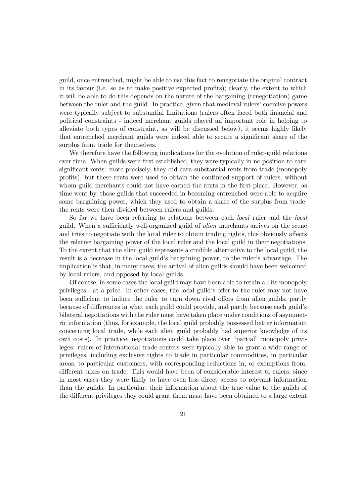guild, once entrenched, might be able to use this fact to renegotiate the original contract in its favour (i.e. so as to make positive expected profits); clearly, the extent to which it will be able to do this depends on the nature of the bargaining (renegotiation) game between the ruler and the guild. In practice, given that medieval rulers' coercive powers were typically subject to substantial limitations (rulers often faced both financial and political constraints - indeed merchant guilds played an important role in helping to alleviate both types of constraint, as will be discussed below), it seems highly likely that entrenched merchant guilds were indeed able to secure a significant share of the surplus from trade for themselves.

We therefore have the following implications for the evolution of ruler-guild relations over time. When guilds were first established, they were typically in no position to earn significant rents: more precisely, they did earn substantial rents from trade (monopoly profits), but these rents were used to obtain the continued support of rulers, without whom guild merchants could not have earned the rents in the first place. However, as time went by, those guilds that succeeded in becoming entrenched were able to acquire some bargaining power, which they used to obtain a share of the surplus from trade: the rents were then divided between rulers and guilds.

So far we have been referring to relations between each local ruler and the local guild. When a sufficiently well-organized guild of *alien* merchants arrives on the scene and tries to negotiate with the local ruler to obtain trading rights, this obviously aÆects the relative bargaining power of the local ruler and the local guild in their negotiations. To the extent that the alien guild represents a credible alternative to the local guild, the result is a decrease in the local guild's bargaining power, to the ruler's advantage. The implication is that, in many cases, the arrival of alien guilds should have been welcomed by local rulers, and opposed by local guilds.

Of course, in some cases the local guild may have been able to retain all its monopoly privileges - at a price. In other cases, the local guild's offer to the ruler may not have been sufficient to induce the ruler to turn down rival offers from alien guilds, partly because of differences in what each guild could provide, and partly because each guild's bilateral negotiations with the ruler must have taken place under conditions of asymmetric information (thus, for example, the local guild probably possessed better information concerning local trade, while each alien guild probably had superior knowledge of its own costs). In practice, negotiations could take place over \partial" monopoly privileges: rulers of international trade centers were typically able to grant a wide range of privileges, including exclusive rights to trade in particular commodities, in particular areas, to particular customers, with corresponding reductions in, or exemptions from, different taxes on trade. This would have been of considerable interest to rulers, since in most cases they were likely to have even less direct access to relevant information than the guilds. In particular, their information about the true value to the guilds of the different privileges they could grant them must have been obtained to a large extent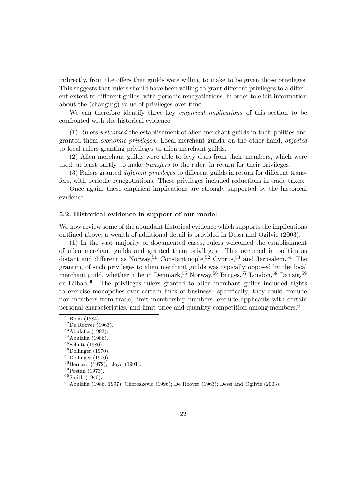indirectly, from the offers that guilds were willing to make to be given those privileges. This suggests that rulers should have been willing to grant different privileges to a different extent to different guilds, with periodic renegotiations, in order to elicit information about the (changing) value of privileges over time.

We can therefore identify three key *empirical implications* of this section to be confronted with the historical evidence:

(1) Rulers welcomed the establishment of alien merchant guilds in their polities and granted them economic privileges. Local merchant guilds, on the other hand, objected to local rulers granting privileges to alien merchant guilds.

(2) Alien merchant guilds were able to levy dues from their members, which were used, at least partly, to make transfers to the ruler, in return for their privileges.

(3) Rulers granted *different privileges* to different guilds in return for different transfers, with periodic renegotiations. These privileges included reductions in trade taxes.

Once again, these empirical implications are strongly supported by the historical evidence.

#### 5.2. Historical evidence in support of our model

We now review some of the abundant historical evidence which supports the implications outlined above; a wealth of additional detail is provided in Dessi and Ogilvie (2003).

(1) In the vast majority of documented cases, rulers welcomed the establishment of alien merchant guilds and granted them privileges. This occurred in polities as distant and different as Norway, <sup>51</sup> Constantinople, <sup>52</sup> Cyprus, <sup>53</sup> and Jerusalem.<sup>54</sup> The granting of such privileges to alien merchant guilds was typically opposed by the local merchant guild, whether it be in Denmark,<sup>55</sup> Norway,<sup>56</sup> Bruges,<sup>57</sup> London,<sup>58</sup> Danzig,<sup>59</sup> or Bilbao.<sup>60</sup> The privileges rulers granted to alien merchant guilds included rights to exercise monopolies over certain lines of business: specifically, they could exclude non-members from trade, limit membership numbers, exclude applicants with certain personal characteristics, and limit price and quantity competition among members.<sup>61</sup>

 $^{51}$ Blom (1984).<br> $^{52}$ De Roover (1963).<br> $^{53}$ Abulafia (1993).<br> $^{54}$ Abulafia (1986).<br> $^{55}$ Schütt (1980).<br> $^{56}$ Dollinger (1970).<br> $^{57}$ Dollinger (1970).<br> $^{58}$ Bernard (1972); Lloyd (1991).<br> $^{59}$ Postan (1973).<br> $^{60}$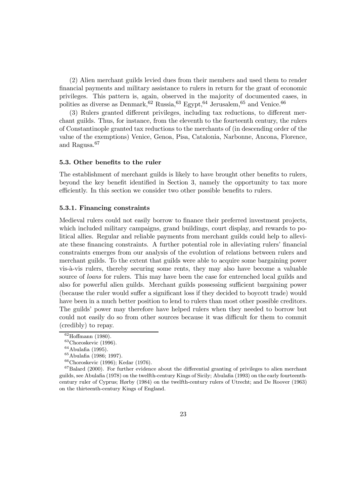(2) Alien merchant guilds levied dues from their members and used them to render financial payments and military assistance to rulers in return for the grant of economic privileges. This pattern is, again, observed in the majority of documented cases, in polities as diverse as Denmark,<sup>62</sup> Russia,<sup>63</sup> Egypt,<sup>64</sup> Jerusalem,<sup>65</sup> and Venice.<sup>66</sup>

(3) Rulers granted different privileges, including tax reductions, to different merchant guilds. Thus, for instance, from the eleventh to the fourteenth century, the rulers of Constantinople granted tax reductions to the merchants of (in descending order of the value of the exemptions) Venice, Genoa, Pisa, Catalonia, Narbonne, Ancona, Florence, and Ragusa.<sup>67</sup>

#### 5.3. Other benefits to the ruler

The establishment of merchant guilds is likely to have brought other benefits to rulers. beyond the key benefit identified in Section 3, namely the opportunity to tax more efficiently. In this section we consider two other possible benefits to rulers.

#### 5.3.1. Financing constraints

Medieval rulers could not easily borrow to finance their preferred investment projects, which included military campaigns, grand buildings, court display, and rewards to political allies. Regular and reliable payments from merchant guilds could help to alleviate these financing constraints. A further potential role in alleviating rulers' financial constraints emerges from our analysis of the evolution of relations between rulers and merchant guilds. To the extent that guilds were able to acquire some bargaining power vis-à-vis rulers, thereby securing some rents, they may also have become a valuable source of *loans* for rulers. This may have been the case for entrenched local guilds and also for powerful alien guilds. Merchant guilds possessing sufficient bargaining power (because the ruler would suffer a significant loss if they decided to boycott trade) would have been in a much better position to lend to rulers than most other possible creditors. The guilds' power may therefore have helped rulers when they needed to borrow but could not easily do so from other sources because it was difficult for them to commit (credibly) to repay.

<sup>&</sup>lt;sup>62</sup>Hoffmann (1980).<br>
<sup>63</sup>Choroskevic (1996).<br>
<sup>64</sup>Abulafia (1995).<br>
<sup>65</sup>Abulafia (1986; 1997).<br>
<sup>66</sup>Choroskevic (1996); Kedar (1976).<br>
<sup>67</sup>Balard (2000). For further evidence about the differential granting of privileges guilds, see Abulafia (1978) on the twelfth-century Kings of Sicily; Abulafia (1993) on the early fourteenthcentury ruler of Cyprus; Hørby (1984) on the twelfth-century rulers of Utrecht; and De Roover (1963) on the thirteenth-century Kings of England.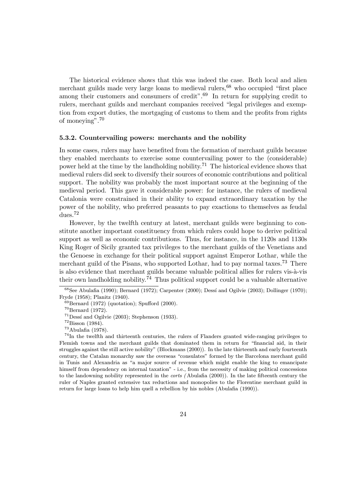The historical evidence shows that this was indeed the case. Both local and alien merchant guilds made very large loans to medieval rulers,  $68$  who occupied "first place among their customers and consumers of credit".<sup>69</sup> In return for supplying credit to rulers, merchant guilds and merchant companies received "legal privileges and exemption from export duties, the mortgaging of customs to them and the profits from rights of moneying".<sup>70</sup>

#### 5.3.2. Countervailing powers: merchants and the nobility

In some cases, rulers may have benefited from the formation of merchant guilds because they enabled merchants to exercise some countervailing power to the (considerable) power held at the time by the landholding nobility.<sup>71</sup> The historical evidence shows that medieval rulers did seek to diversify their sources of economic contributions and political support. The nobility was probably the most important source at the beginning of the medieval period. This gave it considerable power: for instance, the rulers of medieval Catalonia were constrained in their ability to expand extraordinary taxation by the power of the nobility, who preferred peasants to pay exactions to themselves as feudal dues.<sup>72</sup>

However, by the twelfth century at latest, merchant guilds were beginning to constitute another important constituency from which rulers could hope to derive political support as well as economic contributions. Thus, for instance, in the 1120s and 1130s King Roger of Sicily granted tax privileges to the merchant guilds of the Venetians and the Genoese in exchange for their political support against Emperor Lothar, while the merchant guild of the Pisans, who supported Lothar, had to pay normal taxes.<sup>73</sup> There is also evidence that merchant guilds became valuable political allies for rulers vis-à-vis their own landholding nobility.<sup>74</sup> Thus political support could be a valuable alternative

 $68$ See Abulafia (1990); Bernard (1972); Carpenter (2000); Dessí and Ogilvie (2003); Dollinger (1970); Fryde (1958); Planitz (1940).<br>
<sup>69</sup>Bernard (1972) (quotation); Spufford (2000).<br>
<sup>70</sup>Bernard (1972).<br>
<sup>71</sup>Dessí and Ogilvie (2003); Stephenson (1933).<br>
<sup>72</sup>Bisson (1984).<br>
<sup>73</sup>Abulafia (1978).<br>
<sup>73</sup>Abulafia (1978).

Flemish towns and the merchant guilds that dominated them in return for "financial aid, in their struggles against the still active nobility" (Blockmans (2000)). In the late thirteenth and early fourteenth century, the Catalan monarchy saw the overseas "consulates" formed by the Barcelona merchant guild in Tunis and Alexandria as "a major source of revenue which might enable the king to emancipate himself from dependency on internal taxation" - i.e., from the necessity of making political concessions to the landowning nobility represented in the *corts* (Abulafia (2000)). In the late fifteenth century the ruler of Naples granted extensive tax reductions and monopolies to the Florentine merchant guild in return for large loans to help him quell a rebellion by his nobles (Abulafia (1990)).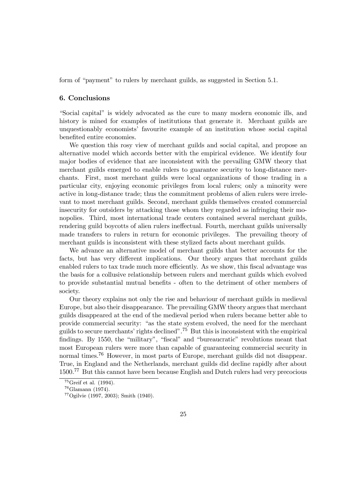form of "payment" to rulers by merchant guilds, as suggested in Section 5.1.

#### 6. Conclusions

"Social capital" is widely advocated as the cure to many modern economic ills, and history is mined for examples of institutions that generate it. Merchant guilds are unquestionably economists' favourite example of an institution whose social capital benefited entire economies.

We question this rosy view of merchant guilds and social capital, and propose an alternative model which accords better with the empirical evidence. We identify four major bodies of evidence that are inconsistent with the prevailing GMW theory that merchant guilds emerged to enable rulers to guarantee security to long-distance merchants. First, most merchant guilds were local organizations of those trading in a particular city, enjoying economic privileges from local rulers; only a minority were active in long-distance trade; thus the commitment problems of alien rulers were irrelevant to most merchant guilds. Second, merchant guilds themselves created commercial insecurity for outsiders by attacking those whom they regarded as infringing their monopolies. Third, most international trade centers contained several merchant guilds, rendering guild boycotts of alien rulers ineffectual. Fourth, merchant guilds universally made transfers to rulers in return for economic privileges. The prevailing theory of merchant guilds is inconsistent with these stylized facts about merchant guilds.

We advance an alternative model of merchant guilds that better accounts for the facts, but has very different implications. Our theory argues that merchant guilds enabled rulers to tax trade much more efficiently. As we show, this fiscal advantage was the basis for a collusive relationship between rulers and merchant guilds which evolved to provide substantial mutual benefits - often to the detriment of other members of society.

Our theory explains not only the rise and behaviour of merchant guilds in medieval Europe, but also their disappearance. The prevailing GMW theory argues that merchant guilds disappeared at the end of the medieval period when rulers became better able to provide commercial security: "as the state system evolved, the need for the merchant guilds to secure merchants' rights declined".<sup>75</sup> But this is inconsistent with the empirical findings. By 1550, the "military", "fiscal" and "bureaucratic" revolutions meant that most European rulers were more than capable of guaranteeing commercial security in normal times.<sup>76</sup> However, in most parts of Europe, merchant guilds did not disappear. True, in England and the Netherlands, merchant guilds did decline rapidly after about 1500.<sup>77</sup> But this cannot have been because English and Dutch rulers had very precocious

<sup>&</sup>lt;sup>75</sup>Greif et al. (1994).<br><sup>76</sup>Glamann (1974).<br><sup>77</sup>Ogilvie (1997, 2003); Smith (1940).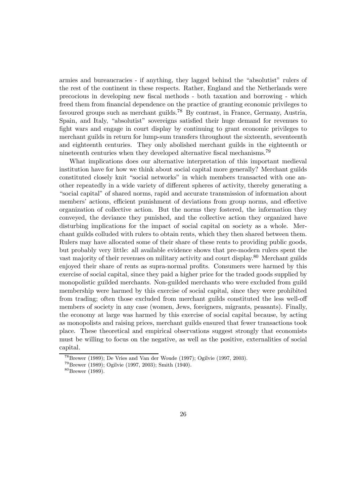armies and bureaucracies - if anything, they lagged behind the "absolutist" rulers of the rest of the continent in these respects. Rather, England and the Netherlands were precocious in developing new fiscal methods - both taxation and borrowing - which freed them from financial dependence on the practice of granting economic privileges to favoured groups such as merchant guilds.<sup>78</sup> By contrast, in France, Germany, Austria, Spain, and Italy, "absolutist" sovereigns satisfied their huge demand for revenues to fight wars and engage in court display by continuing to grant economic privileges to merchant guilds in return for lump-sum transfers throughout the sixteenth, seventeenth and eighteenth centuries. They only abolished merchant guilds in the eighteenth or nineteenth centuries when they developed alternative fiscal mechanisms.<sup>79</sup>

What implications does our alternative interpretation of this important medieval institution have for how we think about social capital more generally? Merchant guilds constituted closely knit "social networks" in which members transacted with one another repeatedly in a wide variety of diÆerent spheres of activity, thereby generating a "social capital" of shared norms, rapid and accurate transmission of information about members' actions, efficient punishment of deviations from group norms, and effective organization of collective action. But the norms they fostered, the information they conveyed, the deviance they punished, and the collective action they organized have disturbing implications for the impact of social capital on society as a whole. Merchant guilds colluded with rulers to obtain rents, which they then shared between them. Rulers may have allocated some of their share of these rents to providing public goods, but probably very little: all available evidence shows that pre-modern rulers spent the vast majority of their revenues on military activity and court display.<sup>80</sup> Merchant guilds enjoyed their share of rents as supra-normal profits. Consumers were harmed by this exercise of social capital, since they paid a higher price for the traded goods supplied by monopolistic guilded merchants. Non-guilded merchants who were excluded from guild membership were harmed by this exercise of social capital, since they were prohibited from trading; often those excluded from merchant guilds constituted the less well-off members of society in any case (women, Jews, foreigners, migrants, peasants). Finally, the economy at large was harmed by this exercise of social capital because, by acting as monopolists and raising prices, merchant guilds ensured that fewer transactions took place. These theoretical and empirical observations suggest strongly that economists must be willing to focus on the negative, as well as the positive, externalities of social capital.

<sup>&</sup>lt;sup>78</sup>Brewer (1989); De Vries and Van der Woude (1997); Ogilvie (1997, 2003).<br><sup>79</sup>Brewer (1989); Ogilvie (1997, 2003); Smith (1940).<br><sup>80</sup>Brewer (1989).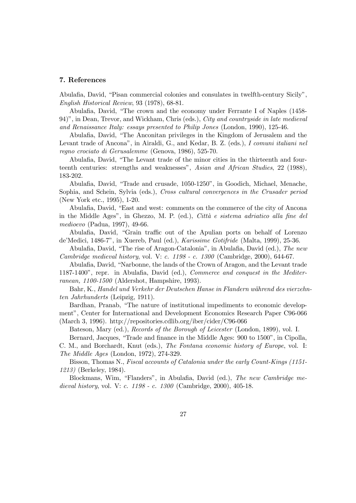#### 7. References

Abulafia, David, "Pisan commercial colonies and consulates in twelfth-century Sicily", English Historical Review, 93 (1978), 68-81.

Abulafia, David, "The crown and the economy under Ferrante I of Naples (1458-94)", in Dean, Trevor, and Wickham, Chris (eds.), City and countryside in late medieval and Renaissance Italy: essays presented to Philip Jones (London, 1990), 125-46.

Abulafia, David, "The Anconitan privileges in the Kingdom of Jerusalem and the Levant trade of Ancona", in Airaldi, G., and Kedar, B. Z. (eds.), I comuni italiani nel regno crociato di Gerusalemme (Genova, 1986), 525-70.

Abulafia, David, "The Levant trade of the minor cities in the thirteenth and fourteenth centuries: strengths and weaknesses", Asian and African Studies, 22 (1988), 183-202.

Abulafia, David, "Trade and crusade, 1050-1250", in Goodich, Michael, Menache, Sophia, and Schein, Sylvia (eds.), Cross cultural convergences in the Crusader period (New York etc., 1995), 1-20.

Abulafia, David, "East and west: comments on the commerce of the city of Ancona in the Middle Ages", in Ghezzo, M. P. (ed.), Città e sistema adriatico alla fine del medioevo (Padua, 1997), 49-66.

Abulafia, David, "Grain traffic out of the Apulian ports on behalf of Lorenzo de'Medici, 1486-7", in Xuereb, Paul (ed.), Karissime Gotifride (Malta, 1999), 25-36.

Abulafia, David, "The rise of Aragon-Catalonia", in Abulafia, David (ed.), The new Cambridge medieval history, vol. V: c. 1198 - c. 1300 (Cambridge, 2000), 644-67.

Abulafia, David, "Narbonne, the lands of the Crown of Aragon, and the Levant trade 1187-1400", repr. in Abulafia, David (ed.), *Commerce and conquest in the Mediter*ranean, 1100-1500 (Aldershot, Hampshire, 1993).

Bahr, K., Handel und Verkehr der Deutschen Hanse in Flandern während des vierzehnten Jahrhunderts (Leipzig, 1911).

Bardhan, Pranab, "The nature of institutional impediments to economic development", Center for International and Development Economics Research Paper C96-066 (March 3, 1996). http://repositories.cdlib.org/iber/cider/C96-066

Bateson, Mary (ed.), Records of the Borough of Leicester (London, 1899), vol. I.

Bernard, Jacques, "Trade and finance in the Middle Ages: 900 to 1500", in Cipolla, C. M., and Borchardt, Knut (eds.), The Fontana economic history of Europe, vol. I: The Middle Ages (London, 1972), 274-329.

Bisson, Thomas N., Fiscal accounts of Catalonia under the early Count-Kings (1151- 1213) (Berkeley, 1984).

Blockmans, Wim, "Flanders", in Abulafia, David (ed.), The new Cambridge medieval history, vol. V: c. 1198 - c. 1300 (Cambridge, 2000), 405-18.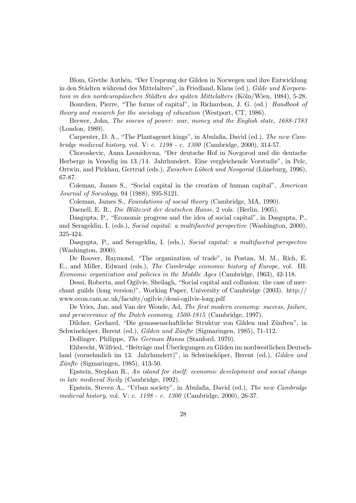Blom, Grethe Authén, "Der Ursprung der Gilden in Norwegen und ihre Entwicklung in den Städten während des Mittelalters", in Friedland, Klaus (ed.), Gilde und Korporation in den nordeuropäischen Städten des späten Mittelalters (Köln/Wien, 1984), 5-28.

Bourdieu, Pierre, "The forms of capital", in Richardson, J. G. (ed.) Handbook of theory and research for the sociology of education (Westport, CT, 1986).

Brewer, John, The sinews of power: war, money and the English state, 1688-1783 (London, 1989).

Carpenter, D. A., "The Plantagenet kings", in Abulafia, David (ed.), The new Cambridge medieval history, vol. V: c. 1198 - c. 1300 (Cambridge, 2000), 314-57.

Choroskevic, Anna Leonidovna, "Der deutsche Hof in Novgorod und die deutsche Herberge in Venedig im 13./14. Jahrhundert. Eine vergleichende Vorstudie", in Pelc, Ortwin, and Pickhan, Gertrud (eds.), Zwischen Lübeck und Novgorod (Lüneburg, 1996), 67-87.

Coleman, James S., "Social capital in the creation of human capital", American Journal of Sociology, 94 (1988), S95-S121.

Coleman, James S., Foundations of social theory (Cambridge, MA, 1990).

Daenell, E. R., Die Blütezeit der deutschen Hanse, 2 vols. (Berlin, 1905).

Dasgupta, P., "Economic progress and the idea of social capital", in Dasgupta, P., and Serageldin, I. (eds.), Social capital: a multifaceted perspective (Washington, 2000), 325-424.

Dasgupta, P., and Serageldin, I. (eds.), Social capital: a multifaceted perspective (Washington, 2000).

De Roover, Raymond, \The organization of trade", in Postan, M. M., Rich, E. E., and Miller, Edward (eds.), The Cambridge economic history of Europe, vol. III: Economic organization and policies in the Middle Ages (Cambridge, 1963), 42-118.

Dessi, Roberta, and Ogilvie, Sheilagh, "Social capital and collusion: the case of merchant guilds (long version)", Working Paper, University of Cambridge (2003). http:// www.econ.cam.ac.uk/faculty/ogilvie/dessi-ogilvie-long.pdf

De Vries, Jan, and Van der Woude, Ad, The first modern economy: success, failure, and perseverance of the Dutch economy, 1500-1815 (Cambridge, 1997).

Dilcher, Gerhard, "Die genossenschaftliche Struktur von Gilden und Zünften", in Schwineköper, Berent (ed.), Gilden und Zünfte (Sigmaringen, 1985), 71-112.

Dollinger, Philippe, The German Hansa (Stanford, 1970).

Ehbrecht, Wilfried, "Beiträge und Uberlegungen zu Gilden im nordwestlichen Deutschland (vornehmlich im 13. Jahrhundert)", in Schwineköper, Berent (ed.), Gilden und  $Z\ddot{u}n\dot{f}te$  (Sigmaringen, 1985), 413-50.

Epstein, Stephan R., An island for itself: economic development and social change in late medieval Sicily (Cambridge, 1992).

Epstein, Steven A., "Urban society", in Abulafia, David (ed.), The new Cambridge medieval history, vol. V: c. 1198 - c. 1300 (Cambridge, 2000), 26-37.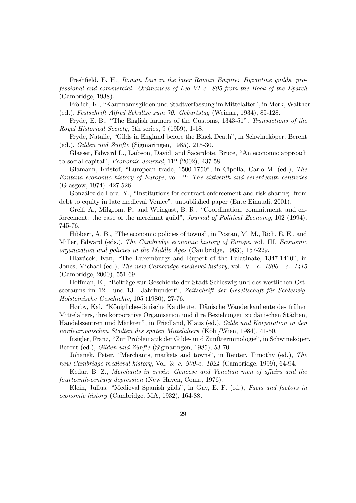Freshfield, E. H., Roman Law in the later Roman Empire: Byzantine guilds, professional and commercial. Ordinances of Leo VI c. 895 from the Book of the Eparch (Cambridge, 1938).

Frölich, K., "Kaufmannsgilden und Stadtverfassung im Mittelalter", in Merk, Walther (ed.), Festschrift Alfred Schultze zum 70. Geburtstag (Weimar, 1934), 85-128.

Fryde, E. B., "The English farmers of the Customs, 1343-51", Transactions of the Royal Historical Society, 5th series, 9 (1959), 1-18.

Fryde, Natalie, "Gilds in England before the Black Death", in Schwineköper, Berent  $(ed.)$ , *Gilden und Zünfte* (Sigmaringen, 1985), 215-30.

Glaeser, Edward L., Laibson, David, and Sacerdote, Bruce, "An economic approach to social capital", Economic Journal, 112 (2002), 437-58.

Glamann, Kristof, "European trade, 1500-1750", in Cipolla, Carlo M. (ed.), The Fontana economic history of Europe, vol. 2: The sixteenth and seventeenth centuries (Glasgow, 1974), 427-526.

González de Lara, Y., "Institutions for contract enforcement and risk-sharing: from debt to equity in late medieval Venice", unpublished paper (Ente Einaudi, 2001).

Greif, A., Milgrom, P., and Weingast, B. R., "Coordination, commitment, and enforcement: the case of the merchant guild", Journal of Political Economy, 102 (1994), 745-76.

Hibbert, A. B., "The economic policies of towns", in Postan, M. M., Rich, E. E., and Miller, Edward (eds.), The Cambridge economic history of Europe, vol. III, Economic organization and policies in the Middle Ages (Cambridge, 1963), 157-229.

Hlavácek, Ivan, "The Luxemburgs and Rupert of the Palatinate, 1347-1410", in Jones, Michael (ed.), The new Cambridge medieval history, vol. VI: c. 1300 - c. 1415 (Cambridge, 2000), 551-69.

Hoffman, E., "Beiträge zur Geschichte der Stadt Schleswig und des westlichen Ostseeraums im 12. und 13. Jahrhundert", Zeitschrift der Gesellschaft für Schleswig-Holsteinische Geschichte, 105 (1980), 27-76.

Hørby, Kai, "Königliche-dänische Kaufleute. Dänische Wanderkaufleute des frühen Mittelalters, ihre korporative Organisation und ihre Beziehungen zu dänischen Städten, Handelszentren und Märkten", in Friedland, Klaus (ed.), Gilde und Korporation in den nordeuropäischen Städten des späten Mittelalters (Köln/Wien, 1984), 41-50.

Irsigler, Franz, "Zur Problematik der Gilde- und Zunftterminologie", in Schwineköper, Berent (ed.), *Gilden und Zünfte* (Sigmaringen, 1985), 53-70.

Johanek, Peter, "Merchants, markets and towns", in Reuter, Timothy (ed.), The new Cambridge medieval history, Vol. 3: c. 900-c. 1024 (Cambridge, 1999), 64-94.

Kedar, B. Z., Merchants in crisis: Genoese and Venetian men of affairs and the fourteenth-century depression (New Haven, Conn., 1976).

Klein, Julius, "Medieval Spanish gilds", in Gay, E. F. (ed.), Facts and factors in economic history (Cambridge, MA, 1932), 164-88.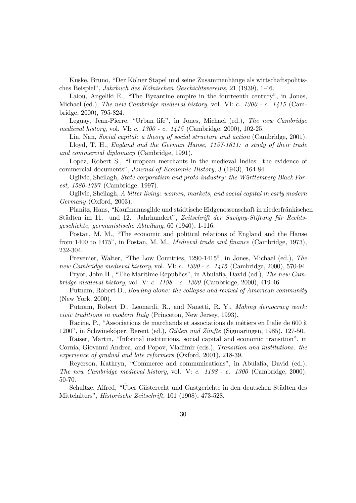Kuske, Bruno, "Der Kölner Stapel und seine Zusammenhänge als wirtschaftspolitisches Beispiel", Jahrbuch des Kölnischen Geschichtsvereins, 21 (1939), 1-46.

Laiou, Angeliki E., "The Byzantine empire in the fourteenth century", in Jones, Michael (ed.), The new Cambridge medieval history, vol. VI: c. 1300 - c. 1415 (Cambridge, 2000), 795-824.

Leguay, Jean-Pierre, "Urban life", in Jones, Michael (ed.), The new Cambridge medieval history, vol. VI: c. 1300 - c. 1415 (Cambridge, 2000), 102-25.

Lin, Nan, Social capital: a theory of social structure and action (Cambridge, 2001).

Lloyd, T. H., England and the German Hanse, 1157-1611: a study of their trade and commercial diplomacy (Cambridge, 1991).

Lopez, Robert S., "European merchants in the medieval Indies: the evidence of commercial documents", Journal of Economic History, 3 (1943), 164-84.

Ogilvie, Sheilagh, *State corporatism and proto-industry: the Württemberg Black For*est, 1580-1797 (Cambridge, 1997).

Ogilvie, Sheilagh, A bitter living: women, markets, and social capital in early modern Germany (Oxford, 2003).

Planitz, Hans, "Kaufmannsgilde und städtische Eidgenossenschaft in niederfränkischen Städten im 11. und 12. Jahrhundert", Zeitschrift der Savigny-Stiftung für Rechtsgeschichte, germanistische Abteilung, 60 (1940), 1-116.

Postan, M. M., "The economic and political relations of England and the Hanse from 1400 to 1475", in Postan, M. M., Medieval trade and finance (Cambridge, 1973), 232-304.

Prevenier, Walter, "The Low Countries, 1290-1415", in Jones, Michael (ed.), The new Cambridge medieval history, vol. VI: c. 1300 - c. 1415 (Cambridge, 2000), 570-94.

Pryor, John H., "The Maritime Republics", in Abulafia, David (ed.), The new Cambridge medieval history, vol. V: c. 1198 - c. 1300 (Cambridge, 2000), 419-46.

Putnam, Robert D., Bowling alone: the collapse and revival of American community (New York, 2000).

Putnam, Robert D., Leonardi, R., and Nanetti, R. Y., Making democracy work: civic traditions in modern Italy (Princeton, New Jersey, 1993).

Racine, P., "Associations de marchands et associations de métiers en Italie de 600 à 1200", in Schwineköper, Berent (ed.), *Gilden und Zünfte* (Sigmaringen, 1985), 127-50.

Raiser, Martin, "Informal institutions, social capital and economic transition", in Cornia, Giovanni Andrea, and Popov, Vladimir (eds.), Transition and institutions. the experience of gradual and late reformers (Oxford, 2001), 218-39.

Reyerson, Kathryn, "Commerce and communications", in Abulafia, David (ed.), The new Cambridge medieval history, vol. V: c. 1198 - c. 1300 (Cambridge, 2000), 50-70.

Schultze, Alfred, "Über Gästerecht und Gastgerichte in den deutschen Städten des Mittelalters", Historische Zeitschrift, 101 (1908), 473-528.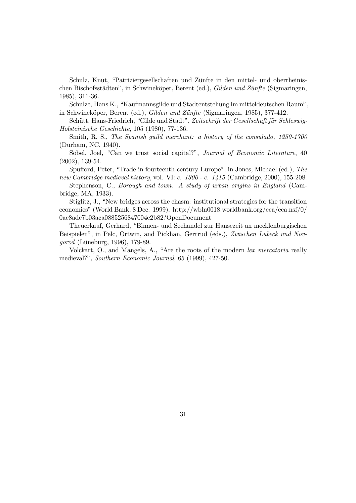Schulz, Knut, "Patriziergesellschaften und Zünfte in den mittel- und oberrheinischen Bischofsstädten", in Schwineköper, Berent (ed.), Gilden und Zünfte (Sigmaringen, 1985), 311-36.

Schulze, Hans K., \Kaufmannsgilde und Stadtentstehung im mitteldeutschen Raum", in Schwineköper, Berent (ed.), Gilden und Zünfte (Sigmaringen, 1985), 377-412.

Schütt, Hans-Friedrich, "Gilde und Stadt", Zeitschrift der Gesellschaft für Schleswig-Holsteinische Geschichte, 105 (1980), 77-136.

Smith, R. S., The Spanish guild merchant: a history of the consulado, 1250-1700 (Durham, NC, 1940).

Sobel, Joel, "Can we trust social capital?", Journal of Economic Literature, 40 (2002), 139-54.

Spufford, Peter, "Trade in fourteenth-century Europe", in Jones, Michael (ed.), The new Cambridge medieval history, vol. VI: c. 1300 - c. 1415 (Cambridge, 2000), 155-208.

Stephenson, C., Borough and town. A study of urban origins in England (Cambridge, MA, 1933).

Stiglitz, J., \New bridges across the chasm: institutional strategies for the transition economies" (World Bank, 8 Dec. 1999). http://wbln0018.worldbank.org/eca/eca.nsf/0/ 0ac8adc7b03aca0885256847004e2b82?OpenDocument

Theuerkauf, Gerhard, "Binnen- und Seehandel zur Hansezeit an mecklenburgischen Beispielen", in Pelc, Ortwin, and Pickhan, Gertrud (eds.), Zwischen Lübeck und Novgorod (Lüneburg, 1996), 179-89.

Volckart, O., and Mangels, A., "Are the roots of the modern lex mercatoria really medieval?", Southern Economic Journal, 65 (1999), 427-50.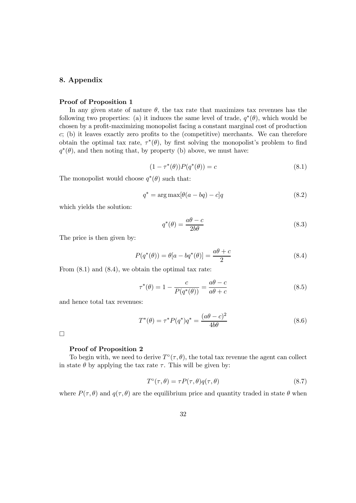#### 8. Appendix

#### Proof of Proposition 1

In any given state of nature  $\theta$ , the tax rate that maximizes tax revenues has the following two properties: (a) it induces the same level of trade,  $q^*(\theta)$ , which would be chosen by a profit-maximizing monopolist facing a constant marginal cost of production  $c$ ; (b) it leaves exactly zero profits to the (competitive) merchants. We can therefore obtain the optimal tax rate,  $\tau^*(\theta)$ , by first solving the monopolist's problem to find  $q^*(\theta)$ , and then noting that, by property (b) above, we must have:

$$
(1 - \tau^*(\theta))P(q^*(\theta)) = c \tag{8.1}
$$

The monopolist would choose  $q^*(\theta)$  such that:

$$
q^* = \arg \max[\theta(a - bq) - c]q \qquad (8.2)
$$

which yields the solution:

$$
q^*(\theta) = \frac{a\theta - c}{2b\theta} \tag{8.3}
$$

The price is then given by:

$$
P(q^*(\theta)) = \theta[a - bq^*(\theta)] = \frac{a\theta + c}{2}
$$
\n(8.4)

From  $(8.1)$  and  $(8.4)$ , we obtain the optimal tax rate:

$$
\tau^*(\theta) = 1 - \frac{c}{P(q^*(\theta))} = \frac{a\theta - c}{a\theta + c}
$$
\n(8.5)

and hence total tax revenues:

$$
T^*(\theta) = \tau^* P(q^*) q^* = \frac{(a\theta - c)^2}{4b\theta}
$$
\n(8.6)

 $\Box$ 

#### Proof of Proposition 2

To begin with, we need to derive  $T^{\circ}(\tau,\theta)$ , the total tax revenue the agent can collect in state  $\theta$  by applying the tax rate  $\tau$ . This will be given by:

$$
T^{\circ}(\tau,\theta) = \tau P(\tau,\theta)q(\tau,\theta) \tag{8.7}
$$

where  $P(\tau,\theta)$  and  $q(\tau,\theta)$  are the equilibrium price and quantity traded in state  $\theta$  when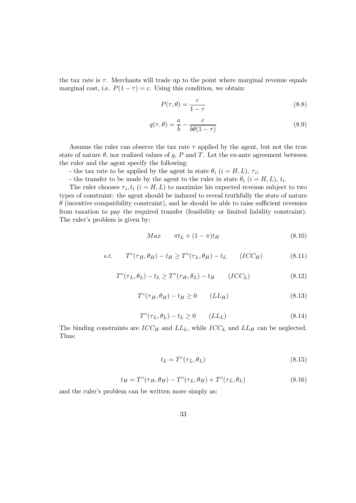the tax rate is  $\tau$ . Merchants will trade up to the point where marginal revenue equals marginal cost, i.e.  $P(1 - \tau) = c$ . Using this condition, we obtain:

$$
P(\tau, \theta) = \frac{c}{1 - \tau} \tag{8.8}
$$

$$
q(\tau,\theta) = \frac{a}{b} - \frac{c}{b\theta(1-\tau)}
$$
\n(8.9)

Assume the ruler can observe the tax rate  $\tau$  applied by the agent, but not the true state of nature  $\theta$ , nor realized values of q, P and T. Let the ex-ante agreement between the ruler and the agent specify the following:

- the tax rate to be applied by the agent in state  $\theta_i$  ( $i = H, L$ ),  $\tau_i$ ;

- the transfer to be made by the agent to the ruler in state  $\theta_i$  ( $i = H, L$ ),  $t_i$ .

The ruler chooses  $\tau_i, t_i$  ( $i = H, L$ ) to maximize his expected revenue subject to two types of constraint: the agent should be induced to reveal truthfully the state of nature  $\theta$  (incentive compatibility constraint), and he should be able to raise sufficient revenues from taxation to pay the required transfer (feasibility or limited liability constraint). The ruler's problem is given by:

$$
Max \qquad \pi t_L + (1 - \pi)t_H \tag{8.10}
$$

$$
s.t. \tT^{\circ}(\tau_H, \theta_H) - t_H \geq T^{\circ}(\tau_L, \theta_H) - t_L \t(ICC_H)
$$
\n
$$
(8.11)
$$

$$
T^{\circ}(\tau_L, \theta_L) - t_L \ge T^{\circ}(\tau_H, \theta_L) - t_H \qquad (ICC_L)
$$
\n
$$
(8.12)
$$

$$
T^{\circ}(\tau_H, \theta_H) - t_H \ge 0 \qquad (LL_H)
$$
\n
$$
(8.13)
$$

$$
T^{\circ}(\tau_L, \theta_L) - t_L \ge 0 \qquad (LL_L)
$$
\n
$$
(8.14)
$$

The binding constraints are  $ICC_H$  and  $LL_L$ , while  $ICC_L$  and  $LL_H$  can be neglected. Thus:

$$
t_L = T^{\circ}(\tau_L, \theta_L) \tag{8.15}
$$

$$
t_H = T^{\circ}(\tau_H, \theta_H) - T^{\circ}(\tau_L, \theta_H) + T^{\circ}(\tau_L, \theta_L)
$$
\n(8.16)

and the ruler's problem can be written more simply as: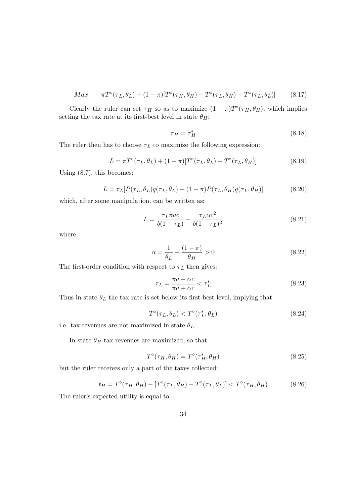$$
Max \qquad \pi T^{\circ}(\tau_L, \theta_L) + (1 - \pi)[T^{\circ}(\tau_H, \theta_H) - T^{\circ}(\tau_L, \theta_H) + T^{\circ}(\tau_L, \theta_L)] \qquad (8.17)
$$

Clearly the ruler can set  $\tau_H$  so as to maximize  $(1 - \pi)T^{\circ}(\tau_H, \theta_H)$ , which implies setting the tax rate at its first-best level in state  $\theta_H$ :

$$
\tau_H = \tau_H^* \tag{8.18}
$$

The ruler then has to choose  $\tau_L$  to maximize the following expression:

$$
L = \pi T^{\circ}(\tau_L, \theta_L) + (1 - \pi)[T^{\circ}(\tau_L, \theta_L) - T^{\circ}(\tau_L, \theta_H)] \tag{8.19}
$$

Using (8.7), this becomes:

$$
L = \tau_L[P(\tau_L, \theta_L)q(\tau_L, \theta_L) - (1 - \pi)P(\tau_L, \theta_H)q(\tau_L, \theta_H)] \tag{8.20}
$$

which, after some manipulation, can be written as:

$$
L = \frac{\tau_L \pi ac}{b(1 - \tau_L)} - \frac{\tau_L \alpha c^2}{b(1 - \tau_L)^2}
$$
(8.21)

where

$$
\alpha = \frac{1}{\theta_L} - \frac{(1 - \pi)}{\theta_H} > 0\tag{8.22}
$$

The first-order condition with respect to  $\tau_L$  then gives:

$$
\tau_L = \frac{\pi a - \alpha c}{\pi a + \alpha c} < \tau_L^* \tag{8.23}
$$

Thus in state  $\theta_L$  the tax rate is set below its first-best level, implying that:

$$
T^{\circ}(\tau_L, \theta_L) < T^{\circ}(\tau_L^*, \theta_L) \tag{8.24}
$$

i.e. tax revenues are not maximized in state  $\theta_L$ .

In state  $\theta_H$  tax revenues are maximized, so that

$$
T^{\circ}(\tau_H, \theta_H) = T^{\circ}(\tau_H^*, \theta_H) \tag{8.25}
$$

but the ruler receives only a part of the taxes collected:

$$
t_H = T^{\circ}(\tau_H, \theta_H) - [T^{\circ}(\tau_L, \theta_H) - T^{\circ}(\tau_L, \theta_L)] < T^{\circ}(\tau_H, \theta_H) \tag{8.26}
$$

The ruler's expected utility is equal to: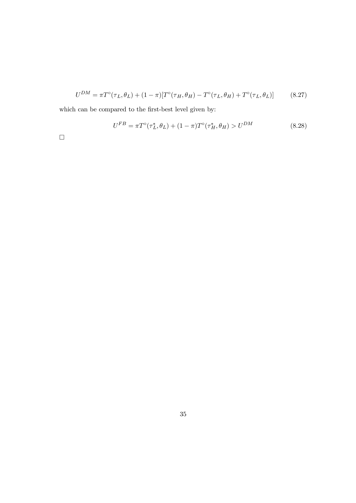$$
U^{DM} = \pi T^{\circ}(\tau_L, \theta_L) + (1 - \pi)[T^{\circ}(\tau_H, \theta_H) - T^{\circ}(\tau_L, \theta_H) + T^{\circ}(\tau_L, \theta_L)] \tag{8.27}
$$

which can be compared to the first-best level given by:

$$
U^{FB} = \pi T^{\circ}(\tau_L^*, \theta_L) + (1 - \pi) T^{\circ}(\tau_H^*, \theta_H) > U^{DM}
$$
\n(8.28)

 $\Box$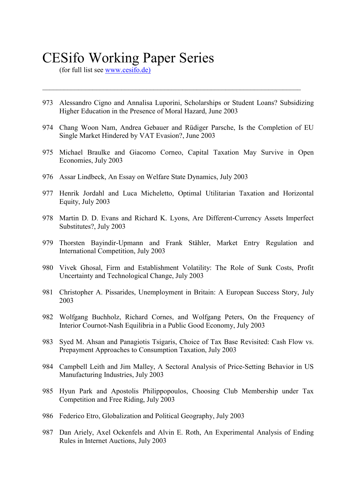# CESifo Working Paper Series

(for full list see [www.cesifo.de\)](http://www.cesifo.de.)/)

973 Alessandro Cigno and Annalisa Luporini, Scholarships or Student Loans? Subsidizing Higher Education in the Presence of Moral Hazard, June 2003

 $\mathcal{L}_\text{max}$  , and the contribution of the contribution of the contribution of the contribution of the contribution of the contribution of the contribution of the contribution of the contribution of the contribution of t

- 974 Chang Woon Nam, Andrea Gebauer and Rüdiger Parsche, Is the Completion of EU Single Market Hindered by VAT Evasion?, June 2003
- 975 Michael Braulke and Giacomo Corneo, Capital Taxation May Survive in Open Economies, July 2003
- 976 Assar Lindbeck, An Essay on Welfare State Dynamics, July 2003
- 977 Henrik Jordahl and Luca Micheletto, Optimal Utilitarian Taxation and Horizontal Equity, July 2003
- 978 Martin D. D. Evans and Richard K. Lyons, Are Different-Currency Assets Imperfect Substitutes?, July 2003
- 979 Thorsten Bayindir-Upmann and Frank Stähler, Market Entry Regulation and International Competition, July 2003
- 980 Vivek Ghosal, Firm and Establishment Volatility: The Role of Sunk Costs, Profit Uncertainty and Technological Change, July 2003
- 981 Christopher A. Pissarides, Unemployment in Britain: A European Success Story, July 2003
- 982 Wolfgang Buchholz, Richard Cornes, and Wolfgang Peters, On the Frequency of Interior Cournot-Nash Equilibria in a Public Good Economy, July 2003
- 983 Syed M. Ahsan and Panagiotis Tsigaris, Choice of Tax Base Revisited: Cash Flow vs. Prepayment Approaches to Consumption Taxation, July 2003
- 984 Campbell Leith and Jim Malley, A Sectoral Analysis of Price-Setting Behavior in US Manufacturing Industries, July 2003
- 985 Hyun Park and Apostolis Philippopoulos, Choosing Club Membership under Tax Competition and Free Riding, July 2003
- 986 Federico Etro, Globalization and Political Geography, July 2003
- 987 Dan Ariely, Axel Ockenfels and Alvin E. Roth, An Experimental Analysis of Ending Rules in Internet Auctions, July 2003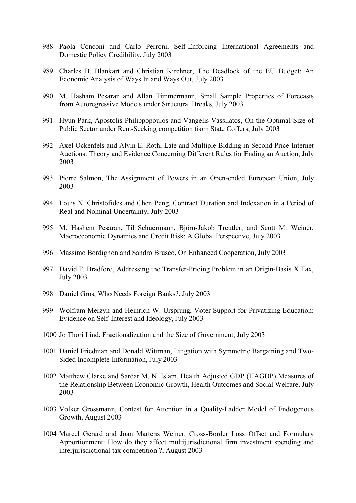- 988 Paola Conconi and Carlo Perroni, Self-Enforcing International Agreements and Domestic Policy Credibility, July 2003
- 989 Charles B. Blankart and Christian Kirchner, The Deadlock of the EU Budget: An Economic Analysis of Ways In and Ways Out, July 2003
- 990 M. Hasham Pesaran and Allan Timmermann, Small Sample Properties of Forecasts from Autoregressive Models under Structural Breaks, July 2003
- 991 Hyun Park, Apostolis Philippopoulos and Vangelis Vassilatos, On the Optimal Size of Public Sector under Rent-Seeking competition from State Coffers, July 2003
- 992 Axel Ockenfels and Alvin E. Roth, Late and Multiple Bidding in Second Price Internet Auctions: Theory and Evidence Concerning Different Rules for Ending an Auction, July 2003
- 993 Pierre Salmon, The Assignment of Powers in an Open-ended European Union, July 2003
- 994 Louis N. Christofides and Chen Peng, Contract Duration and Indexation in a Period of Real and Nominal Uncertainty, July 2003
- 995 M. Hashem Pesaran, Til Schuermann, Björn-Jakob Treutler, and Scott M. Weiner, Macroeconomic Dynamics and Credit Risk: A Global Perspective, July 2003
- 996 Massimo Bordignon and Sandro Brusco, On Enhanced Cooperation, July 2003
- 997 David F. Bradford, Addressing the Transfer-Pricing Problem in an Origin-Basis X Tax, July 2003
- 998 Daniel Gros, Who Needs Foreign Banks?, July 2003
- 999 Wolfram Merzyn and Heinrich W. Ursprung, Voter Support for Privatizing Education: Evidence on Self-Interest and Ideology, July 2003
- 1000 Jo Thori Lind, Fractionalization and the Size of Government, July 2003
- 1001 Daniel Friedman and Donald Wittman, Litigation with Symmetric Bargaining and Two-Sided Incomplete Information, July 2003
- 1002 Matthew Clarke and Sardar M. N. Islam, Health Adjusted GDP (HAGDP) Measures of the Relationship Between Economic Growth, Health Outcomes and Social Welfare, July 2003
- 1003 Volker Grossmann, Contest for Attention in a Quality-Ladder Model of Endogenous Growth, August 2003
- 1004 Marcel Gérard and Joan Martens Weiner, Cross-Border Loss Offset and Formulary Apportionment: How do they affect multijurisdictional firm investment spending and interjurisdictional tax competition ?, August 2003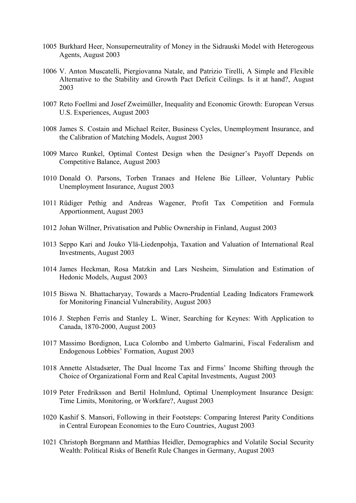- 1005 Burkhard Heer, Nonsuperneutrality of Money in the Sidrauski Model with Heterogeous Agents, August 2003
- 1006 V. Anton Muscatelli, Piergiovanna Natale, and Patrizio Tirelli, A Simple and Flexible Alternative to the Stability and Growth Pact Deficit Ceilings. Is it at hand?, August 2003
- 1007 Reto Foellmi and Josef Zweimüller, Inequality and Economic Growth: European Versus U.S. Experiences, August 2003
- 1008 James S. Costain and Michael Reiter, Business Cycles, Unemployment Insurance, and the Calibration of Matching Models, August 2003
- 1009 Marco Runkel, Optimal Contest Design when the Designer's Payoff Depends on Competitive Balance, August 2003
- 1010 Donald O. Parsons, Torben Tranaes and Helene Bie Lilleør, Voluntary Public Unemployment Insurance, August 2003
- 1011 Rüdiger Pethig and Andreas Wagener, Profit Tax Competition and Formula Apportionment, August 2003
- 1012 Johan Willner, Privatisation and Public Ownership in Finland, August 2003
- 1013 Seppo Kari and Jouko Ylä-Liedenpohja, Taxation and Valuation of International Real Investments, August 2003
- 1014 James Heckman, Rosa Matzkin and Lars Nesheim, Simulation and Estimation of Hedonic Models, August 2003
- 1015 Biswa N. Bhattacharyay, Towards a Macro-Prudential Leading Indicators Framework for Monitoring Financial Vulnerability, August 2003
- 1016 J. Stephen Ferris and Stanley L. Winer, Searching for Keynes: With Application to Canada, 1870-2000, August 2003
- 1017 Massimo Bordignon, Luca Colombo and Umberto Galmarini, Fiscal Federalism and Endogenous Lobbies' Formation, August 2003
- 1018 Annette Alstadsæter, The Dual Income Tax and Firms' Income Shifting through the Choice of Organizational Form and Real Capital Investments, August 2003
- 1019 Peter Fredriksson and Bertil Holmlund, Optimal Unemployment Insurance Design: Time Limits, Monitoring, or Workfare?, August 2003
- 1020 Kashif S. Mansori, Following in their Footsteps: Comparing Interest Parity Conditions in Central European Economies to the Euro Countries, August 2003
- 1021 Christoph Borgmann and Matthias Heidler, Demographics and Volatile Social Security Wealth: Political Risks of Benefit Rule Changes in Germany, August 2003